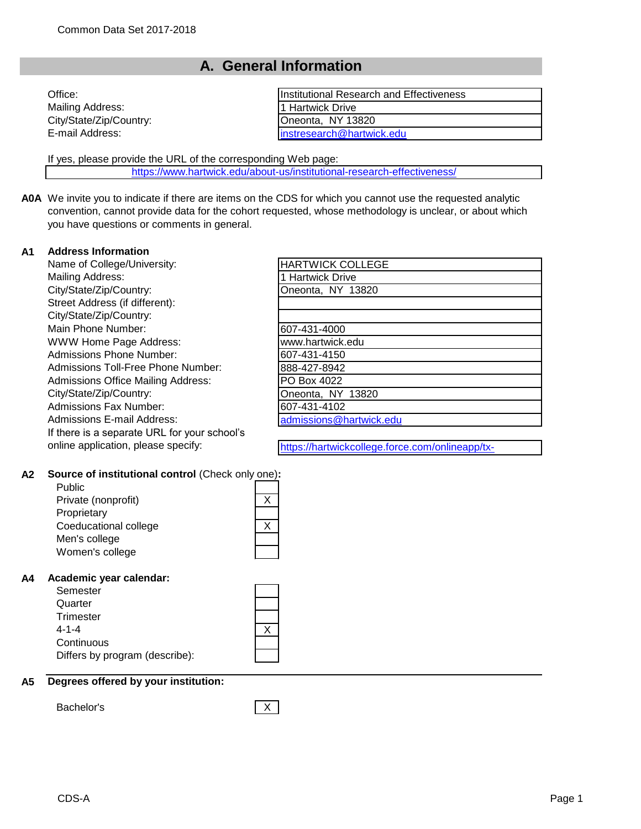# **A. General Information**

| Office:                 | Institutional Research and Effectiveness |
|-------------------------|------------------------------------------|
| Mailing Address:        | 11 Hartwick Drive                        |
| City/State/Zip/Country: | Oneonta, NY 13820                        |
| E-mail Address:         | instresearch@hartwick.edu                |
|                         |                                          |

If yes, please provide the URL of the corresponding Web page:

[https://www.hartwick.edu/ab](https://www.hartwick.edu/about-us/institutional-research-effectiveness/)out-us/institutional-research-effectiveness/

**A0A** We invite you to indicate if there are items on the CDS for which you cannot use the requested analytic convention, cannot provide data for the cohort requested, whose methodology is unclear, or about which you have questions or comments in general.

### **A1 Address Information**

Name of College/University: Mailing Address: City/State/Zip/Country: Street Address (if different): City/State/Zip/Country: Main Phone Number: WWW Home Page Address: Admissions Phone Number: Admissions Toll-Free Phone Number: Admissions Office Mailing Address: City/State/Zip/Country: Admissions Fax Number: Admissions E-mail Address: If there is a separate URL for your school's online application, please specify:

| <b>HARTWICK COLLEGE</b> |  |
|-------------------------|--|
| 1 Hartwick Drive        |  |
| Oneonta, NY 13820       |  |
|                         |  |
|                         |  |
| 607-431-4000            |  |
| www.hartwick.edu        |  |
| 607-431-4150            |  |
| 888-427-8942            |  |
| PO Box 4022             |  |
| Oneonta, NY 13820       |  |
| 607-431-4102            |  |
| admissions@hartwick.edu |  |
|                         |  |

https://hartwickcollege.force.com/onlineapp/tx-

communitieshome

#### **A2 Source of institutional control** (Check only one)**:**

| Public                |  |
|-----------------------|--|
| Private (nonprofit)   |  |
| Proprietary           |  |
| Coeducational college |  |
| Men's college         |  |
| Women's college       |  |
|                       |  |

#### **A4 Academic year calendar:**

| Semester                       |  |
|--------------------------------|--|
| Quarter                        |  |
| Trimester                      |  |
| 4-1-4                          |  |
| Continuous                     |  |
| Differs by program (describe): |  |
|                                |  |

## **A5 Degrees offered by your institution:**

Bachelor's X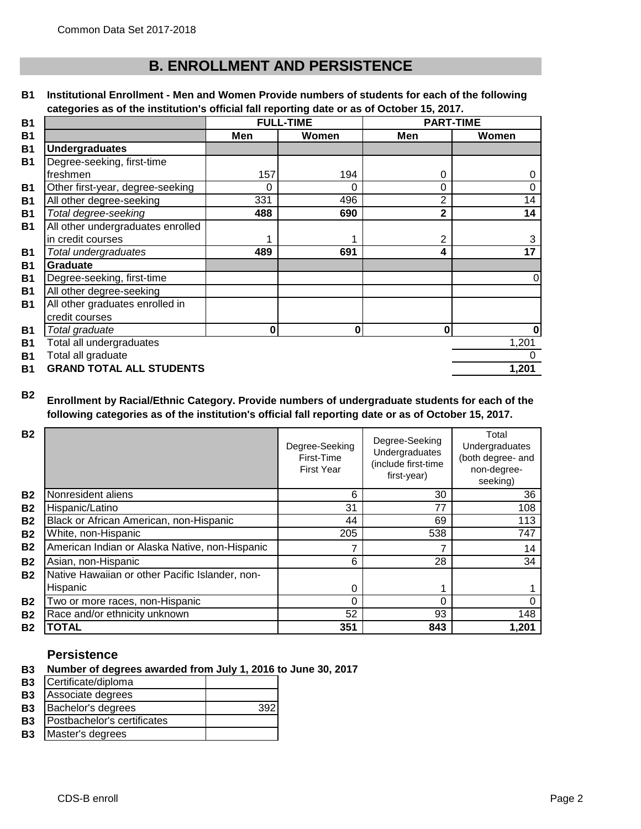# **B. ENROLLMENT AND PERSISTENCE**

#### **B1 Institutional Enrollment - Men and Women Provide numbers of students for each of the following categories as of the institution's official fall reporting date or as of October 15, 2017.**

|                                   |     | <b>FULL-TIME</b> | <b>PART-TIME</b> |          |
|-----------------------------------|-----|------------------|------------------|----------|
|                                   | Men | Women            | Men              | Women    |
| <b>Undergraduates</b>             |     |                  |                  |          |
| Degree-seeking, first-time        |     |                  |                  |          |
| freshmen                          | 157 | 194              | 0                | 0        |
| Other first-year, degree-seeking  | 0   | 0                | 0                | 0        |
| All other degree-seeking          | 331 | 496              | 2                | 14       |
| Total degree-seeking              | 488 | 690              | $\mathbf{2}$     | 14       |
| All other undergraduates enrolled |     |                  |                  |          |
| in credit courses                 |     |                  | $\overline{c}$   | 3        |
| Total undergraduates              | 489 | 691              | 4                | 17       |
| <b>Graduate</b>                   |     |                  |                  |          |
| Degree-seeking, first-time        |     |                  |                  | $\Omega$ |
| All other degree-seeking          |     |                  |                  |          |
| All other graduates enrolled in   |     |                  |                  |          |
| credit courses                    |     |                  |                  |          |
| Total graduate                    | 0   | 0                | 0                | $\bf{0}$ |
| Total all undergraduates          |     |                  |                  | 1,201    |
| Total all graduate                |     |                  |                  |          |
| <b>GRAND TOTAL ALL STUDENTS</b>   |     |                  |                  | 1,201    |

**B2 Enrollment by Racial/Ethnic Category. Provide numbers of undergraduate students for each of the following categories as of the institution's official fall reporting date or as of October 15, 2017.**

| <b>B2</b> |                                                 | Degree-Seeking<br>First-Time<br><b>First Year</b> | Degree-Seeking<br>Undergraduates<br>(include first-time<br>first-year) | Total<br>Undergraduates<br>(both degree- and<br>non-degree-<br>seeking) |
|-----------|-------------------------------------------------|---------------------------------------------------|------------------------------------------------------------------------|-------------------------------------------------------------------------|
| <b>B2</b> | Nonresident aliens                              | 6                                                 | 30                                                                     | 36                                                                      |
| <b>B2</b> | Hispanic/Latino                                 | 31                                                | 77                                                                     | 108                                                                     |
| <b>B2</b> | Black or African American, non-Hispanic         | 44                                                | 69                                                                     | 113                                                                     |
| <b>B2</b> | White, non-Hispanic                             | 205                                               | 538                                                                    | 747                                                                     |
| <b>B2</b> | American Indian or Alaska Native, non-Hispanic  |                                                   |                                                                        | 14                                                                      |
| <b>B2</b> | Asian, non-Hispanic                             | 6                                                 | 28                                                                     | 34                                                                      |
| <b>B2</b> | Native Hawaiian or other Pacific Islander, non- |                                                   |                                                                        |                                                                         |
|           | Hispanic                                        | 0                                                 |                                                                        |                                                                         |
| <b>B2</b> | Two or more races, non-Hispanic                 | 0                                                 | 0                                                                      |                                                                         |
| <b>B2</b> | Race and/or ethnicity unknown                   | 52                                                | 93                                                                     | 148                                                                     |
| <b>B2</b> | <b>TOTAL</b>                                    | 351                                               | 843                                                                    | 1,201                                                                   |

## **Persistence**

**B3 Number of degrees awarded from July 1, 2016 to June 30, 2017**

- **B3** Certificate/diploma
- **B3** Associate degrees
- **B3** Bachelor's degrees 292
- **B3** Postbachelor's certificates
- **B3** Master's degrees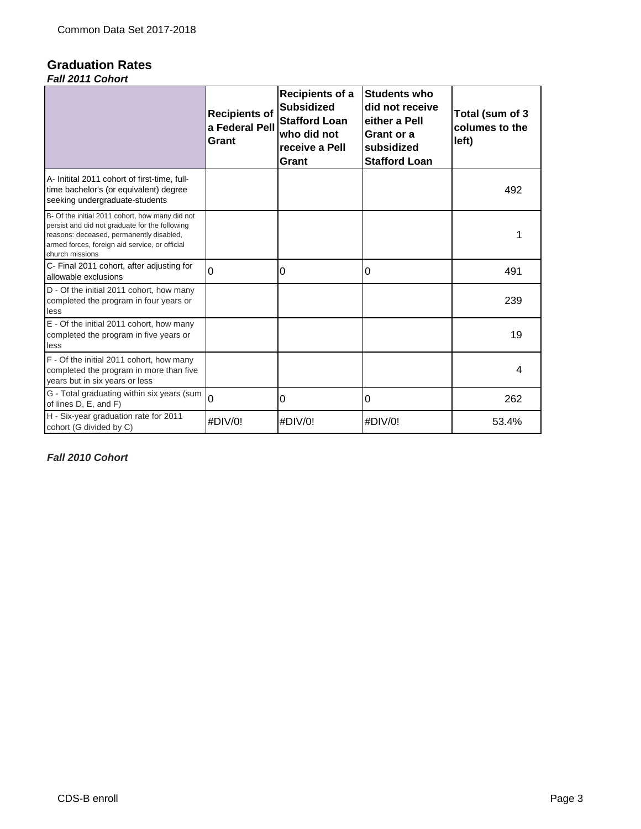## **Graduation Rates** *Fall 2011 Cohort*

|                                                                                                                                                                                                                    | <b>Recipients of</b><br>a Federal Pell<br>Grant | Recipients of a<br><b>Subsidized</b><br><b>Stafford Loan</b><br>who did not<br>receive a Pell<br>Grant | <b>Students who</b><br>did not receive<br>either a Pell<br>Grant or a<br>subsidized<br><b>Stafford Loan</b> | Total (sum of 3<br>columes to the<br>left) |
|--------------------------------------------------------------------------------------------------------------------------------------------------------------------------------------------------------------------|-------------------------------------------------|--------------------------------------------------------------------------------------------------------|-------------------------------------------------------------------------------------------------------------|--------------------------------------------|
| A- Initital 2011 cohort of first-time, full-<br>time bachelor's (or equivalent) degree<br>seeking undergraduate-students                                                                                           |                                                 |                                                                                                        |                                                                                                             | 492                                        |
| B- Of the initial 2011 cohort, how many did not<br>persist and did not graduate for the following<br>reasons: deceased, permanently disabled,<br>armed forces, foreign aid service, or official<br>church missions |                                                 |                                                                                                        |                                                                                                             |                                            |
| C- Final 2011 cohort, after adjusting for<br>allowable exclusions                                                                                                                                                  | 0                                               | 0                                                                                                      | 0                                                                                                           | 491                                        |
| D - Of the initial 2011 cohort, how many<br>completed the program in four years or<br>less                                                                                                                         |                                                 |                                                                                                        |                                                                                                             | 239                                        |
| E - Of the initial 2011 cohort, how many<br>completed the program in five years or<br>less                                                                                                                         |                                                 |                                                                                                        |                                                                                                             | 19                                         |
| F - Of the initial 2011 cohort, how many<br>completed the program in more than five<br>years but in six years or less                                                                                              |                                                 |                                                                                                        |                                                                                                             | 4                                          |
| G - Total graduating within six years (sum<br>of lines D, E, and F)                                                                                                                                                | 0                                               | 0                                                                                                      | 0                                                                                                           | 262                                        |
| H - Six-year graduation rate for 2011<br>cohort (G divided by C)                                                                                                                                                   | #DIV/0!                                         | #DIV/0!                                                                                                | #DIV/0!                                                                                                     | 53.4%                                      |

*Fall 2010 Cohort*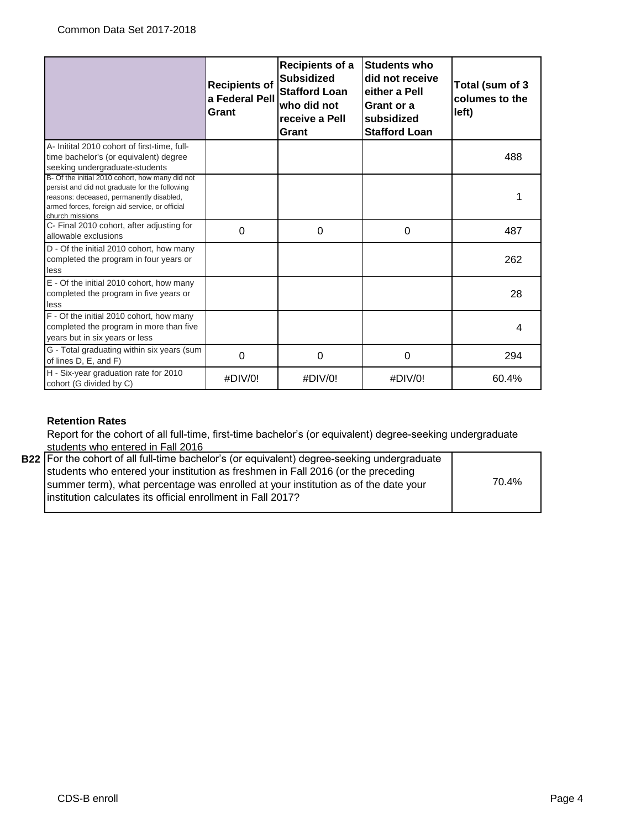|                                                                                                                                                                                                                    | <b>Recipients of</b><br>a Federal Pell<br>Grant | <b>Recipients of a</b><br><b>Subsidized</b><br><b>Stafford Loan</b><br>who did not<br>receive a Pell<br>Grant | <b>Students who</b><br>did not receive<br>either a Pell<br>Grant or a<br>subsidized<br><b>Stafford Loan</b> | Total (sum of 3<br>columes to the<br>left) |
|--------------------------------------------------------------------------------------------------------------------------------------------------------------------------------------------------------------------|-------------------------------------------------|---------------------------------------------------------------------------------------------------------------|-------------------------------------------------------------------------------------------------------------|--------------------------------------------|
| A- Initital 2010 cohort of first-time, full-<br>time bachelor's (or equivalent) degree<br>seeking undergraduate-students                                                                                           |                                                 |                                                                                                               |                                                                                                             | 488                                        |
| B- Of the initial 2010 cohort, how many did not<br>persist and did not graduate for the following<br>reasons: deceased, permanently disabled,<br>armed forces, foreign aid service, or official<br>church missions |                                                 |                                                                                                               |                                                                                                             |                                            |
| C- Final 2010 cohort, after adjusting for<br>allowable exclusions                                                                                                                                                  | $\Omega$                                        | $\Omega$                                                                                                      | $\Omega$                                                                                                    | 487                                        |
| D - Of the initial 2010 cohort, how many<br>completed the program in four years or<br>less                                                                                                                         |                                                 |                                                                                                               |                                                                                                             | 262                                        |
| E - Of the initial 2010 cohort, how many<br>completed the program in five years or<br>less                                                                                                                         |                                                 |                                                                                                               |                                                                                                             | 28                                         |
| F - Of the initial 2010 cohort, how many<br>completed the program in more than five<br>years but in six years or less                                                                                              |                                                 |                                                                                                               |                                                                                                             | 4                                          |
| G - Total graduating within six years (sum<br>of lines D, E, and F)                                                                                                                                                | $\Omega$                                        | $\Omega$                                                                                                      | 0                                                                                                           | 294                                        |
| H - Six-year graduation rate for 2010<br>cohort (G divided by C)                                                                                                                                                   | #DIV/0!                                         | #DIV/0!                                                                                                       | #DIV/0!                                                                                                     | 60.4%                                      |

# **Retention Rates**

Report for the cohort of all full-time, first-time bachelor's (or equivalent) degree-seeking undergraduate students who entered in Fall 2016

| <b>B22</b> For the cohort of all full-time bachelor's (or equivalent) degree-seeking undergraduate |       |
|----------------------------------------------------------------------------------------------------|-------|
| students who entered your institution as freshmen in Fall 2016 (or the preceding                   |       |
| (summer term), what percentage was enrolled at your institution as of the date your                | 70.4% |
| linstitution calculates its official enrollment in Fall 2017?                                      |       |
|                                                                                                    |       |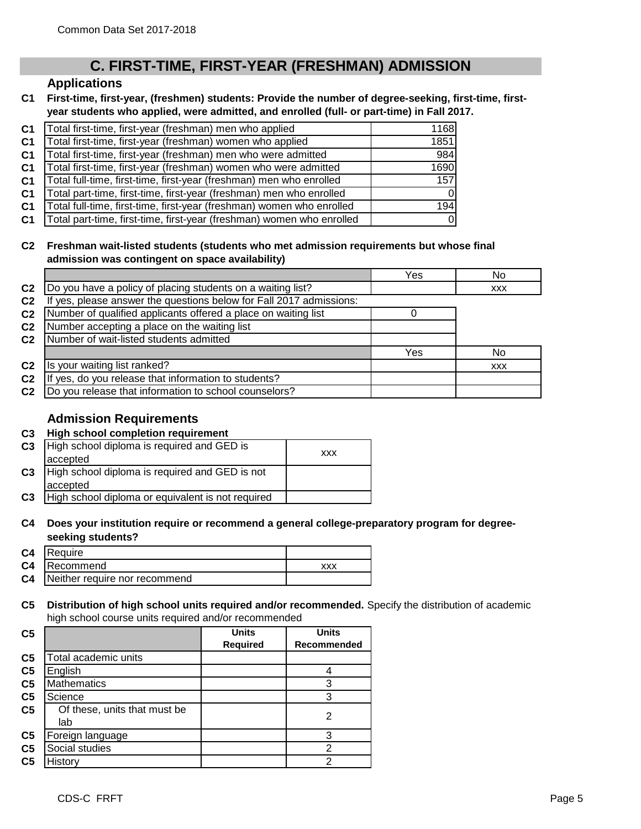# **C. FIRST-TIME, FIRST-YEAR (FRESHMAN) ADMISSION**

# **Applications**

**C1 First-time, first-year, (freshmen) students: Provide the number of degree-seeking, first-time, firstyear students who applied, were admitted, and enrolled (full- or part-time) in Fall 2017.**

| C <sub>1</sub> | Total first-time, first-year (freshman) men who applied               | 1168l    |
|----------------|-----------------------------------------------------------------------|----------|
| C <sub>1</sub> | Total first-time, first-year (freshman) women who applied             | 1851     |
| C <sub>1</sub> | Total first-time, first-year (freshman) men who were admitted         | 984      |
| C <sub>1</sub> | Total first-time, first-year (freshman) women who were admitted       | 1690     |
| C <sub>1</sub> | Total full-time, first-time, first-year (freshman) men who enrolled   | 157      |
| C <sub>1</sub> | Total part-time, first-time, first-year (freshman) men who enrolled   | $\Omega$ |
| C <sub>1</sub> | Total full-time, first-time, first-year (freshman) women who enrolled | 194      |
| C1             | Total part-time, first-time, first-year (freshman) women who enrolled | $\Omega$ |

### **C2 Freshman wait-listed students (students who met admission requirements but whose final admission was contingent on space availability)**

|                |                                                                  | Yes | No         |
|----------------|------------------------------------------------------------------|-----|------------|
| C <sub>2</sub> | Do you have a policy of placing students on a waiting list?      |     | <b>XXX</b> |
| C <sub>2</sub> | yes, please answer the questions below for Fall 2017 admissions: |     |            |
| C <sub>2</sub> | Number of qualified applicants offered a place on waiting list   |     |            |
| C <sub>2</sub> | Number accepting a place on the waiting list                     |     |            |
| C <sub>2</sub> | Number of wait-listed students admitted                          |     |            |
|                |                                                                  | Yes | No         |
| C <sub>2</sub> | Is your waiting list ranked?                                     |     | <b>XXX</b> |
| C <sub>2</sub> | yes, do you release that information to students?                |     |            |
| C <sub>2</sub> | Do you release that information to school counselors?            |     |            |

# **Admission Requirements**

# **C3 High school completion requirement**

| C <sub>3</sub> | High school diploma is required and GED is<br>accepted     | <b>XXX</b> |
|----------------|------------------------------------------------------------|------------|
| C <sub>3</sub> | High school diploma is required and GED is not<br>accepted |            |
| C <sub>3</sub> | High school diploma or equivalent is not required          |            |

## **C4 Does your institution require or recommend a general college-preparatory program for degreeseeking students?**

| C <sub>4</sub> | <b>Require</b>                |     |
|----------------|-------------------------------|-----|
|                | C4 Recommend                  | xxx |
| C4             | Neither require nor recommend |     |

### **C5 Distribution of high school units required and/or recommended.** Specify the distribution of academic high school course units required and/or recommended

| C <sub>5</sub> |                              | <b>Units</b>    | <b>Units</b> |
|----------------|------------------------------|-----------------|--------------|
|                |                              | <b>Required</b> | Recommended  |
| C <sub>5</sub> | Total academic units         |                 |              |
| C <sub>5</sub> | English                      |                 |              |
| C <sub>5</sub> | Mathematics                  |                 | 3            |
| C <sub>5</sub> | Science                      |                 |              |
| C <sub>5</sub> | Of these, units that must be |                 | 2            |
|                | lab                          |                 |              |
| C <sub>5</sub> | Foreign language             |                 | 3            |
| C <sub>5</sub> | Social studies               |                 | 2            |
| C <sub>5</sub> | History                      |                 | 2            |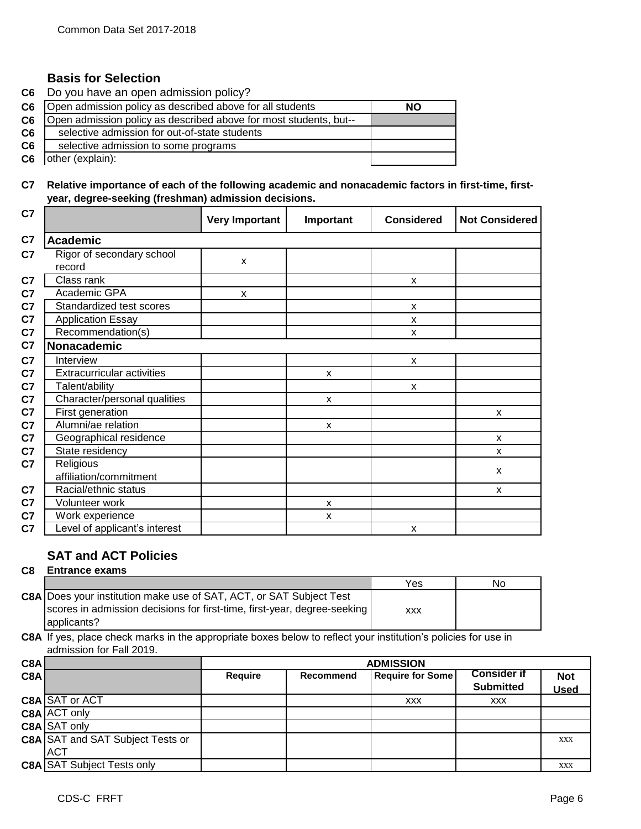# **Basis for Selection**

|                | C6 Do you have an open admission policy?                          |    |
|----------------|-------------------------------------------------------------------|----|
| C <sub>6</sub> | Open admission policy as described above for all students         | NΟ |
| C <sub>6</sub> | Open admission policy as described above for most students, but-- |    |
| C6             | selective admission for out-of-state students                     |    |
| C6             | selective admission to some programs                              |    |
| C6             | other (explain):                                                  |    |

**C7 Relative importance of each of the following academic and nonacademic factors in first-time, firstyear, degree-seeking (freshman) admission decisions.**

| C7             |                                     | <b>Very Important</b>     | Important    | <b>Considered</b> | <b>Not Considered</b> |
|----------------|-------------------------------------|---------------------------|--------------|-------------------|-----------------------|
| C7             | <b>Academic</b>                     |                           |              |                   |                       |
| C7             | Rigor of secondary school<br>record | $\boldsymbol{\mathsf{x}}$ |              |                   |                       |
| C7             | Class rank                          |                           |              | $\mathsf{x}$      |                       |
| C7             | Academic GPA                        | $\mathsf{x}$              |              |                   |                       |
| C <sub>7</sub> | Standardized test scores            |                           |              | X                 |                       |
| C7             | <b>Application Essay</b>            |                           |              | X                 |                       |
| C7             | Recommendation(s)                   |                           |              | X                 |                       |
| C7             | Nonacademic                         |                           |              |                   |                       |
| C7             | Interview                           |                           |              | X                 |                       |
| C7             | <b>Extracurricular activities</b>   |                           | X            |                   |                       |
| C7             | Talent/ability                      |                           |              | $\mathsf{x}$      |                       |
| C7             | Character/personal qualities        |                           | X            |                   |                       |
| C7             | First generation                    |                           |              |                   | X                     |
| C7             | Alumni/ae relation                  |                           | $\mathsf{x}$ |                   |                       |
| C7             | Geographical residence              |                           |              |                   | X                     |
| C7             | State residency                     |                           |              |                   | X                     |
| C7             | Religious                           |                           |              |                   |                       |
|                | affiliation/commitment              |                           |              |                   | X                     |
| C <sub>7</sub> | Racial/ethnic status                |                           |              |                   | X                     |
| C7             | Volunteer work                      |                           | X            |                   |                       |
| C <sub>7</sub> | Work experience                     |                           | X            |                   |                       |
| C7             | Level of applicant's interest       |                           |              | X                 |                       |

# **SAT and ACT Policies**

#### **C8 Entrance exams**

|                                                                          | Yes        | No |
|--------------------------------------------------------------------------|------------|----|
| C8A Does your institution make use of SAT, ACT, or SAT Subject Test      |            |    |
| scores in admission decisions for first-time, first-year, degree-seeking | <b>XXX</b> |    |
| applicants?                                                              |            |    |

**C8A** If yes, place check marks in the appropriate boxes below to reflect your institution's policies for use in admission for Fall 2019.

| C8A |                                         |                | <b>ADMISSION</b> |                  |                    |             |  |  |
|-----|-----------------------------------------|----------------|------------------|------------------|--------------------|-------------|--|--|
| C8A |                                         | <b>Require</b> | Recommend        | Require for Some | <b>Consider if</b> | <b>Not</b>  |  |  |
|     |                                         |                |                  |                  | <b>Submitted</b>   | <u>Used</u> |  |  |
|     | C8A SAT or ACT                          |                |                  | <b>XXX</b>       | <b>XXX</b>         |             |  |  |
|     | C8A ACT only                            |                |                  |                  |                    |             |  |  |
|     | C8A SAT only                            |                |                  |                  |                    |             |  |  |
|     | <b>C8A SAT and SAT Subject Tests or</b> |                |                  |                  |                    | <b>XXX</b>  |  |  |
|     | <b>ACT</b>                              |                |                  |                  |                    |             |  |  |
|     | <b>C8A SAT Subject Tests only</b>       |                |                  |                  |                    | XXX         |  |  |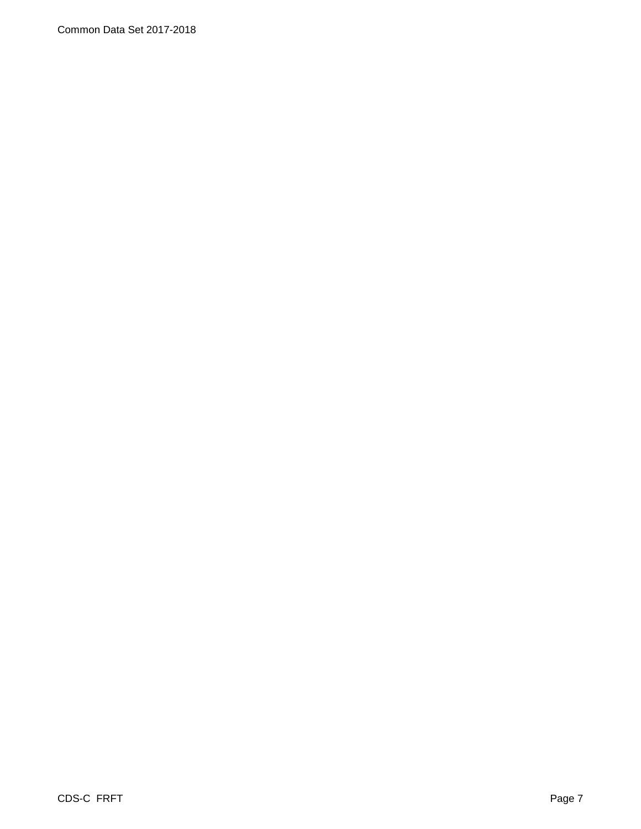Common Data Set 2017-2018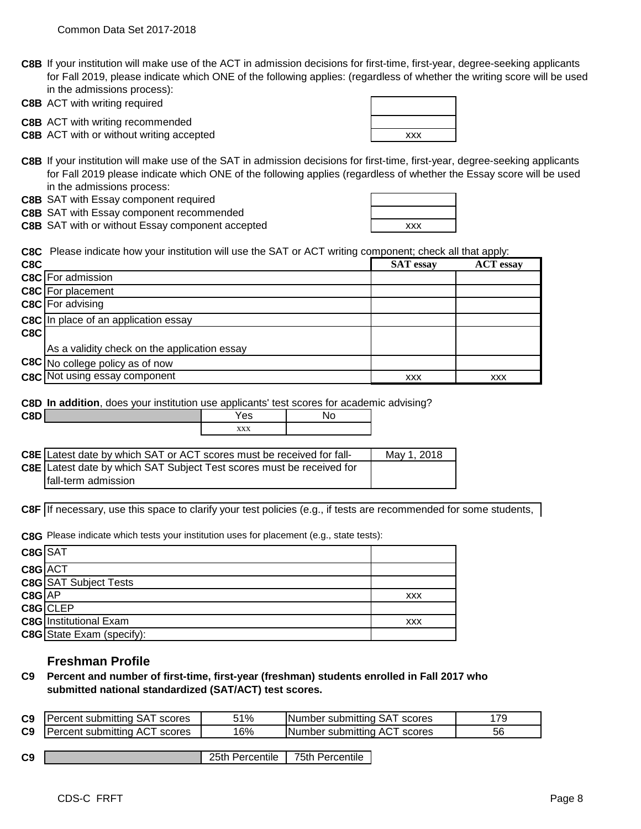**C8B** If your institution will make use of the ACT in admission decisions for first-time, first-year, degree-seeking applicants for Fall 2019, please indicate which ONE of the following applies: (regardless of whether the writing score will be used in the admissions process):

**C8B** ACT with writing required

**C8B** ACT with writing recommended

- **C8B** ACT with or without writing accepted **ACT ACT xxx**
- **C8B** If your institution will make use of the SAT in admission decisions for first-time, first-year, degree-seeking applicants for Fall 2019 please indicate which ONE of the following applies (regardless of whether the Essay score will be used in the admissions process:
- **C8B** SAT with Essay component required
- **C8B** SAT with Essay component recommended
- **C8B** SAT with or without Essay component accepted  $\overline{\phantom{a}}$  xxx

| <b>XXX</b> |  |
|------------|--|

**C8C** Please indicate how your institution will use the SAT or ACT writing component; check all that apply:

| C8C |                                              | <b>SAT</b> essay | <b>ACT</b> essay |
|-----|----------------------------------------------|------------------|------------------|
|     | <b>C8C</b> For admission                     |                  |                  |
|     | C8C For placement                            |                  |                  |
|     | <b>C8C</b> For advising                      |                  |                  |
|     | <b>C8C</b> In place of an application essay  |                  |                  |
| C8C |                                              |                  |                  |
|     | As a validity check on the application essay |                  |                  |
|     | C8C No college policy as of now              |                  |                  |
|     | <b>C8C</b> Not using essay component         | <b>XXX</b>       | XXX              |

**C8D In addition**, does your institution use applicants' test scores for academic advising?

| the contract of the contract of the contract of the contract of the contract of the contract of the contract of | the contract of the con-<br>the property of the | _____ | the control of the con- | the contract of the contract of the contract of the contract of the contract of the contract of the contract of<br>the company's company's company's | the property of the property of the |
|-----------------------------------------------------------------------------------------------------------------|-------------------------------------------------|-------|-------------------------|------------------------------------------------------------------------------------------------------------------------------------------------------|-------------------------------------|
|                                                                                                                 |                                                 |       |                         |                                                                                                                                                      |                                     |
|                                                                                                                 |                                                 |       |                         |                                                                                                                                                      |                                     |
|                                                                                                                 |                                                 |       | XXX                     |                                                                                                                                                      |                                     |
| C8D                                                                                                             |                                                 |       | Yes                     |                                                                                                                                                      |                                     |

| <b>C8E</b> Latest date by which SAT or ACT scores must be received for fall- | May 1, 2018 |
|------------------------------------------------------------------------------|-------------|
| <b>C8E</b> Latest date by which SAT Subject Test scores must be received for |             |
| Ifall-term admission                                                         |             |

**C8F** If necessary, use this space to clarify your test policies (e.g., if tests are recommended for some students,

**C8G** Please indicate which tests your institution uses for placement (e.g., state tests):

| C8G SAT    |                                  |            |
|------------|----------------------------------|------------|
| C8G ACT    |                                  |            |
|            | <b>C8G</b> SAT Subject Tests     |            |
| $C8G$ $AP$ |                                  | <b>XXX</b> |
|            | C8G CLEP                         |            |
|            | <b>C8G</b> Institutional Exam    | <b>XXX</b> |
|            | <b>C8G</b> State Exam (specify): |            |

### **Freshman Profile**

**C9 Percent and number of first-time, first-year (freshman) students enrolled in Fall 2017 who submitted national standardized (SAT/ACT) test scores.**

|                | <b>C9</b> Percent submitting SAT scores | 51%             | Number submitting SAT scores | 179 |
|----------------|-----------------------------------------|-----------------|------------------------------|-----|
|                | <b>C9</b> Percent submitting ACT scores | 16%             | Number submitting ACT scores | 56  |
|                |                                         |                 |                              |     |
| C <sub>9</sub> |                                         | 25th Percentile | 75th Percentile              |     |

| r |  |
|---|--|
|   |  |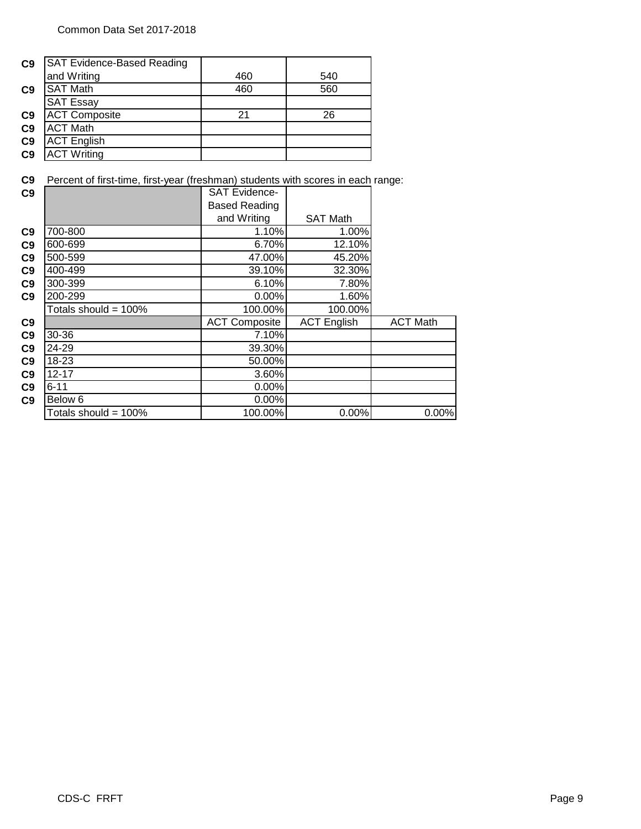| C <sub>9</sub> | <b>SAT Evidence-Based Reading</b> |     |     |
|----------------|-----------------------------------|-----|-----|
|                | and Writing                       | 460 | 540 |
| C <sub>9</sub> | <b>SAT Math</b>                   | 460 | 560 |
|                | SAT Essay                         |     |     |
| C <sub>9</sub> | <b>ACT Composite</b>              | 21  | 26  |
| C <sub>9</sub> | <b>ACT Math</b>                   |     |     |
| C <sub>9</sub> | <b>ACT English</b>                |     |     |
| C <sub>9</sub> | <b>ACT Writing</b>                |     |     |

**C9** Percent of first-time, first-year (freshman) students with scores in each range:

| C9             |                      | <b>SAT Evidence-</b> |                    |                 |
|----------------|----------------------|----------------------|--------------------|-----------------|
|                |                      | <b>Based Reading</b> |                    |                 |
|                |                      | and Writing          | <b>SAT Math</b>    |                 |
| C9             | 700-800              | 1.10%                | 1.00%              |                 |
| C9             | 600-699              | 6.70%                | 12.10%             |                 |
| C9             | 500-599              | 47.00%               | 45.20%             |                 |
| C9             | 400-499              | 39.10%               | 32.30%             |                 |
| C9             | 300-399              | 6.10%                | 7.80%              |                 |
| C <sub>9</sub> | 200-299              | 0.00%                | 1.60%              |                 |
|                | Totals should = 100% | 100.00%              | 100.00%            |                 |
| C9             |                      | <b>ACT Composite</b> | <b>ACT English</b> | <b>ACT Math</b> |
| C9             | 30-36                | 7.10%                |                    |                 |
| C9             | 24-29                | 39.30%               |                    |                 |
| C9             | 18-23                | 50.00%               |                    |                 |
| C9             | $12 - 17$            | 3.60%                |                    |                 |
| C9             | $6 - 11$             | 0.00%                |                    |                 |
| C9             | Below 6              | 0.00%                |                    |                 |
|                | Totals should = 100% | 100.00%              | 0.00%              | 0.00%           |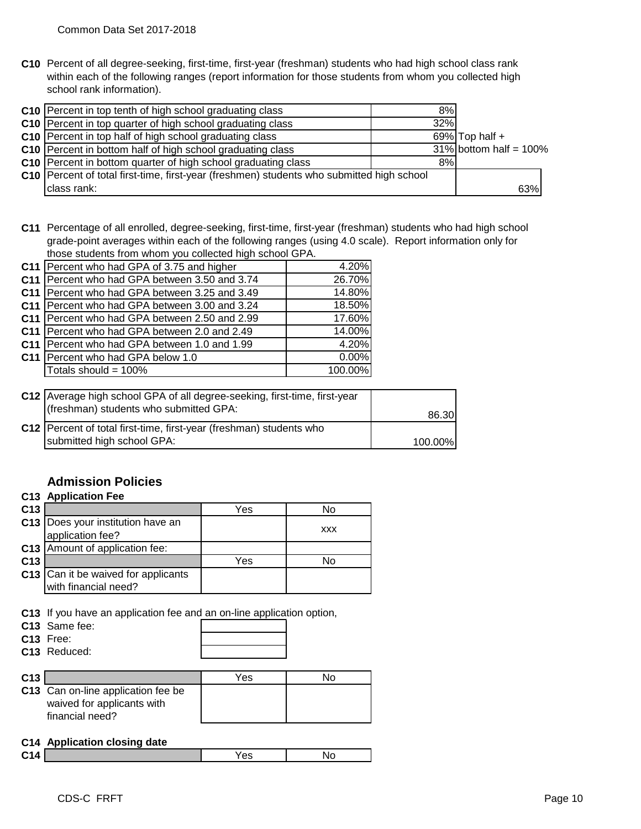**C10** Percent of all degree-seeking, first-time, first-year (freshman) students who had high school class rank within each of the following ranges (report information for those students from whom you collected high school rank information).

| C10 Percent in top tenth of high school graduating class                                    | 8%  |                           |  |
|---------------------------------------------------------------------------------------------|-----|---------------------------|--|
| C10 Percent in top quarter of high school graduating class                                  | 32% |                           |  |
| C10 Percent in top half of high school graduating class                                     |     | 69% $Top$ half $+$        |  |
| C10 Percent in bottom half of high school graduating class                                  |     | $31\%$ bottom half = 100% |  |
| C10 Percent in bottom quarter of high school graduating class                               | 8%  |                           |  |
| C10   Percent of total first-time, first-year (freshmen) students who submitted high school |     |                           |  |
| class rank:                                                                                 |     | 63%                       |  |

**C11** Percentage of all enrolled, degree-seeking, first-time, first-year (freshman) students who had high school grade-point averages within each of the following ranges (using 4.0 scale). Report information only for those students from whom you collected high school GPA.

| C11 Percent who had GPA of 3.75 and higher     | 4.20%    |
|------------------------------------------------|----------|
| C11 Percent who had GPA between 3.50 and 3.74  | 26.70%   |
| C11 Percent who had GPA between 3.25 and 3.49  | 14.80%   |
| C11 Percent who had GPA between 3.00 and 3.24  | 18.50%   |
| C11 Percent who had GPA between 2.50 and 2.99  | 17.60%   |
| C11 Percent who had GPA between 2.0 and 2.49   | 14.00%   |
| C11   Percent who had GPA between 1.0 and 1.99 | 4.20%    |
| C11 Percent who had GPA below 1.0              | $0.00\%$ |
| Totals should = 100%                           | 100.00%  |
|                                                |          |

| C12 Average high school GPA of all degree-seeking, first-time, first-year<br>(freshman) students who submitted GPA: | 86.30   |
|---------------------------------------------------------------------------------------------------------------------|---------|
| C12   Percent of total first-time, first-year (freshman) students who<br>submitted high school GPA:                 | 100.00% |

# **Admission Policies**

|                 | <b>C13 Application Fee</b>                                  |     |            |
|-----------------|-------------------------------------------------------------|-----|------------|
| C <sub>13</sub> |                                                             | Yes | No         |
|                 | C13   Does your institution have an<br>application fee?     |     | <b>XXX</b> |
|                 | C13   Amount of application fee:                            |     |            |
| C <sub>13</sub> |                                                             | Yes | No         |
|                 | C13 Can it be waived for applicants<br>with financial need? |     |            |

**C13** If you have an application fee and an on-line application option,

- **C13** Same fee:
- **C13** Free:
- **C13** Reduced:

|     | o io Tegova.                       |     |    |
|-----|------------------------------------|-----|----|
|     |                                    |     |    |
| C13 |                                    | Yes | ח∨ |
|     | C13 Can on-line application fee be |     |    |
|     | waived for applicants with         |     |    |
|     | financial need?                    |     |    |

## **C14 Application closing date**

| ٦<br>×.     |  |
|-------------|--|
| I<br>×<br>٧ |  |

| ^* |  |  |
|----|--|--|
|    |  |  |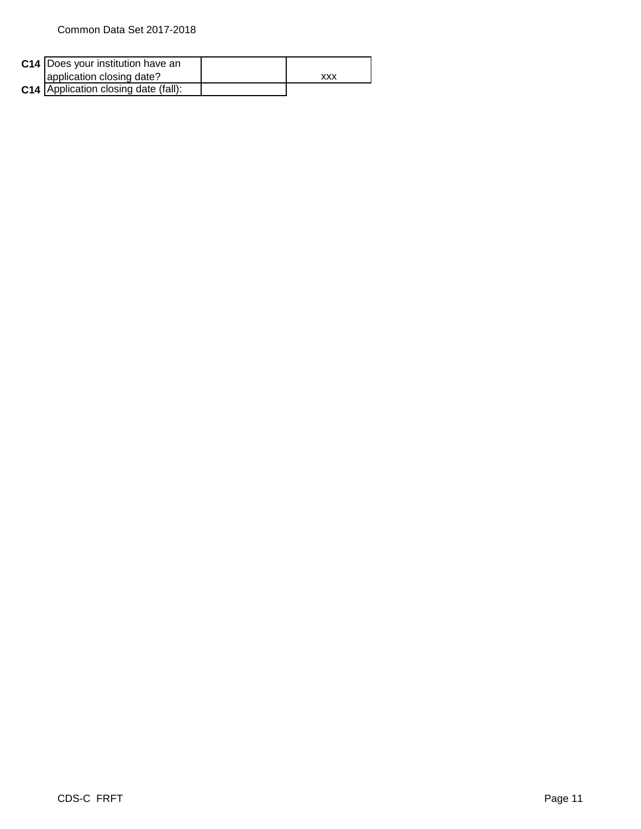| C14   Does your institution have an  |     |
|--------------------------------------|-----|
| application closing date?            | xxx |
| C14 Application closing date (fall): |     |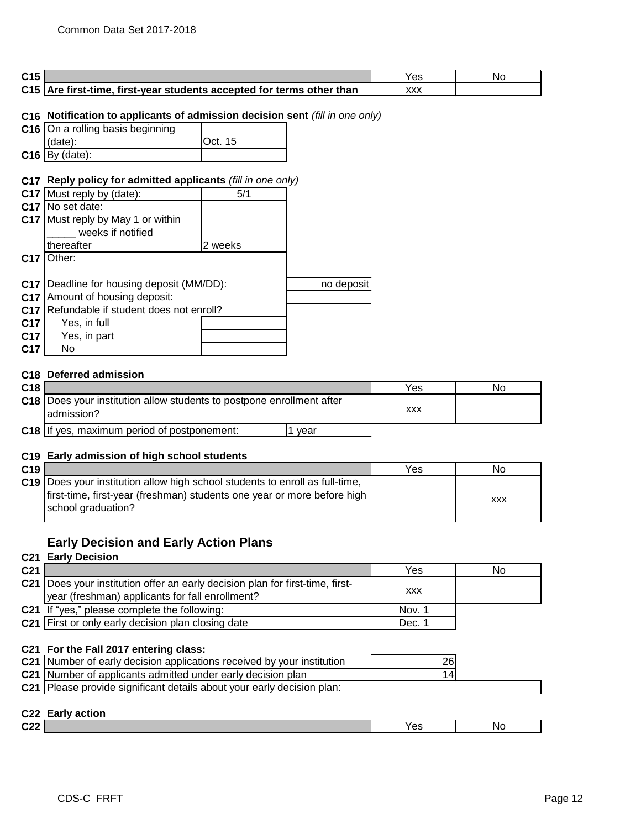| C <sub>15</sub> |                                                                                                     | Yes | NΟ |
|-----------------|-----------------------------------------------------------------------------------------------------|-----|----|
|                 | C15 Are first-time, first-year students accepted for terms other than                               | xxx |    |
|                 | when Nicolas Control of Countries of Collection (Institution Countries of Collection Countries of t |     |    |

## **C16 Notification to applicants of admission decision sent** *(fill in one only)*

| C16   On a rolling basis beginning |                |
|------------------------------------|----------------|
| $Idate$ :                          | <b>Oct. 15</b> |
| $C16$ By (date):                   |                |

## **C17 Reply policy for admitted applicants** *(fill in one only)*

|                 | C17 Must reply by (date):              | 5/1     |            |
|-----------------|----------------------------------------|---------|------------|
|                 | C17   No set date:                     |         |            |
|                 | C17 Must reply by May 1 or within      |         |            |
|                 | weeks if notified                      |         |            |
|                 | thereafter                             | 2 weeks |            |
| C <sub>17</sub> | Other:                                 |         |            |
|                 |                                        |         |            |
| C <sub>17</sub> | Deadline for housing deposit (MM/DD):  |         | no deposit |
| C <sub>17</sub> | Amount of housing deposit:             |         |            |
| C <sub>17</sub> | Refundable if student does not enroll? |         |            |
| C <sub>17</sub> | Yes, in full                           |         |            |
| C <sub>17</sub> | Yes, in part                           |         |            |
| C <sub>17</sub> | No                                     |         |            |

## **C18 Deferred admission**

| C18 |                                                                                       | Yes | No |
|-----|---------------------------------------------------------------------------------------|-----|----|
|     | C18  Does your institution allow students to postpone enrollment after<br>ladmission? | XXX |    |
|     | C18 If yes, maximum period of postponement:<br>vear                                   |     |    |

#### **C19 Early admission of high school students**

| C <sub>19</sub> |                                                                                     | Yes | No         |
|-----------------|-------------------------------------------------------------------------------------|-----|------------|
|                 | <b>C19</b> Does your institution allow high school students to enroll as full-time, |     |            |
|                 | first-time, first-year (freshman) students one year or more before high             |     | <b>XXX</b> |
|                 | school graduation?                                                                  |     |            |
|                 |                                                                                     |     |            |

# **Early Decision and Early Action Plans**

### **C21 Early Decision**

| C <sub>21</sub> |                                                                                                                                         | Yes        | No |
|-----------------|-----------------------------------------------------------------------------------------------------------------------------------------|------------|----|
|                 | <b>C21</b> Does your institution offer an early decision plan for first-time, first-<br>year (freshman) applicants for fall enrollment? | <b>XXX</b> |    |
|                 | <b>C21</b> If "yes," please complete the following:                                                                                     | Nov. 1     |    |
|                 | <b>C21</b> First or only early decision plan closing date                                                                               | Dec. 1     |    |

#### **C21 For the Fall 2017 entering class:**

| <b>C21</b> Number of early decision applications received by your institution | 26 |  |
|-------------------------------------------------------------------------------|----|--|
| C21 Number of applicants admitted under early decision plan                   |    |  |
| C21   Please provide significant details about your early decision plan:      |    |  |

# **C22 Early action**

| $\sim$<br><u>uzz</u> | $V \cap C$<br>w | .NG |
|----------------------|-----------------|-----|
|                      |                 |     |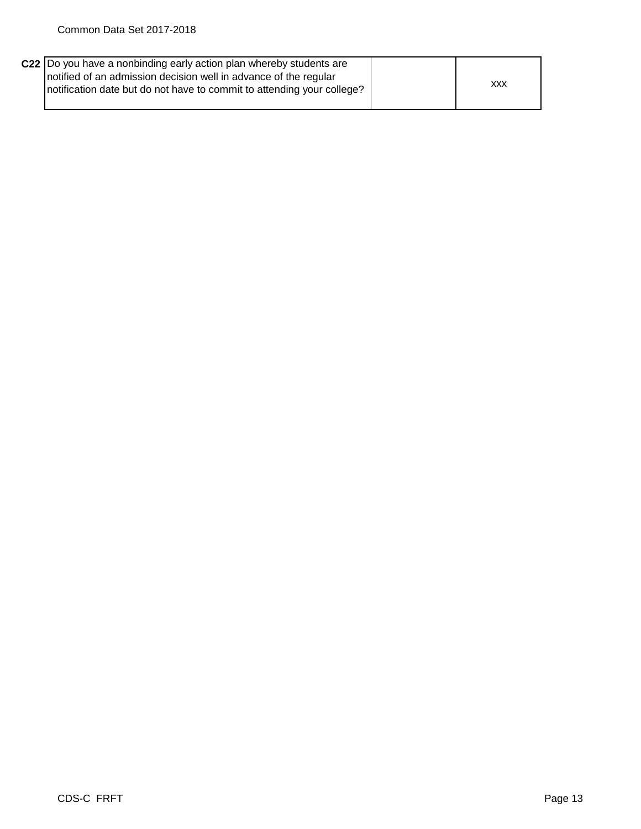| C22 Do you have a nonbinding early action plan whereby students are    |            |
|------------------------------------------------------------------------|------------|
| notified of an admission decision well in advance of the regular       |            |
| notification date but do not have to commit to attending your college? | <b>XXX</b> |
|                                                                        |            |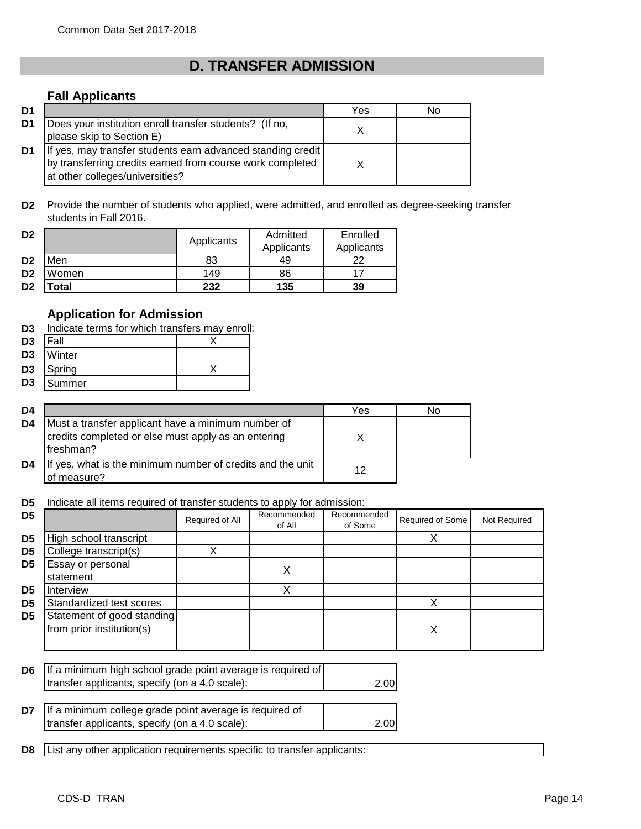# **D. TRANSFER ADMISSION**

# **Fall Applicants**

| D <sub>1</sub> |                                                                                                                                                             | Yes | No |
|----------------|-------------------------------------------------------------------------------------------------------------------------------------------------------------|-----|----|
| D1             | Does your institution enroll transfer students? (If no,<br>please skip to Section E)                                                                        |     |    |
| D1             | If yes, may transfer students earn advanced standing credit<br>by transferring credits earned from course work completed<br>at other colleges/universities? |     |    |

**D2** Provide the number of students who applied, were admitted, and enrolled as degree-seeking transfer students in Fall 2016.

| D <sub>2</sub> |       | Applicants | Admitted   | Enrolled   |
|----------------|-------|------------|------------|------------|
|                |       |            | Applicants | Applicants |
| D <sub>2</sub> | Men   | 83         | 49         | າາ         |
| D <sub>2</sub> | Women | 149        | 86         |            |
| D <sub>2</sub> | 'otal | 232        | 135        | 39         |

# **Application for Admission**

| D3 I | Indicate terms for which transfers may enroll: |  |  |
|------|------------------------------------------------|--|--|
| D3   | IFall                                          |  |  |
|      | D3 Winter                                      |  |  |
| D3   | Spring                                         |  |  |
| D3   | Summer                                         |  |  |

| D4 |                                                                                                                        | Yes | Nο |
|----|------------------------------------------------------------------------------------------------------------------------|-----|----|
| D4 | Must a transfer applicant have a minimum number of<br>credits completed or else must apply as an entering<br>freshman? |     |    |
| D4 | If yes, what is the minimum number of credits and the unit<br>of measure?                                              | 12  |    |

**D5** Indicate all items required of transfer students to apply for admission:

| D <sub>5</sub> |                                                         | Required of All | Recommended<br>of All | Recommended<br>of Some | Required of Some | Not Required |
|----------------|---------------------------------------------------------|-----------------|-----------------------|------------------------|------------------|--------------|
| D <sub>5</sub> | High school transcript                                  |                 |                       |                        |                  |              |
| D <sub>5</sub> | College transcript(s)                                   |                 |                       |                        |                  |              |
| D <sub>5</sub> | Essay or personal<br>statement                          |                 | X                     |                        |                  |              |
| D <sub>5</sub> | Interview                                               |                 | χ                     |                        |                  |              |
| D <sub>5</sub> | Standardized test scores                                |                 |                       |                        |                  |              |
| D <sub>5</sub> | Statement of good standing<br>from prior institution(s) |                 |                       |                        | Χ                |              |

| D6 | If a minimum high school grade point average is required of |      |
|----|-------------------------------------------------------------|------|
|    | transfer applicants, specify (on a 4.0 scale):              | 2.00 |
|    |                                                             |      |
| D7 | If a minimum college grade point average is required of     |      |
|    | transfer applicants, specify (on a 4.0 scale):              | 2.00 |

**D8** List any other application requirements specific to transfer applicants: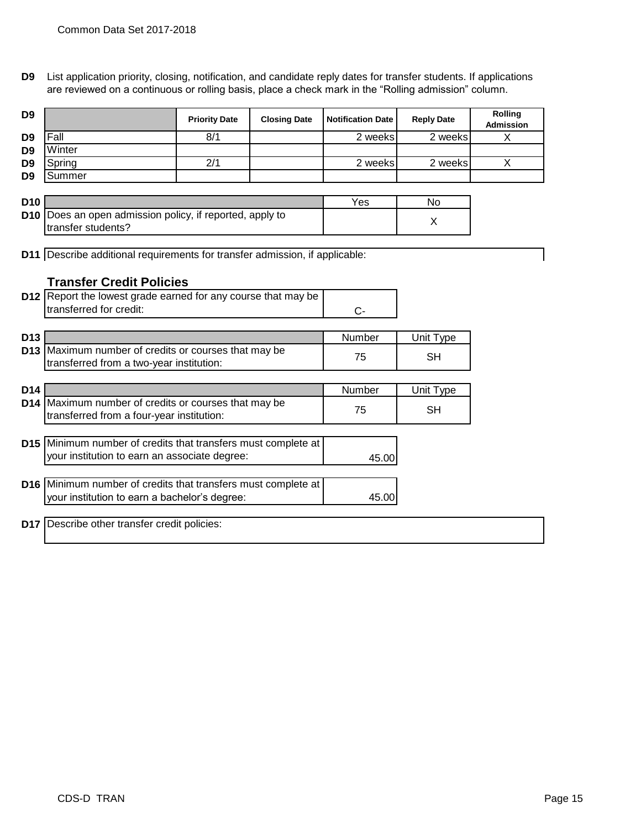**D9** List application priority, closing, notification, and candidate reply dates for transfer students. If applications are reviewed on a continuous or rolling basis, place a check mark in the "Rolling admission" column.

|                 |                                                                                    | <b>Priority Date</b> | <b>Closing Date</b> | <b>Notification Date</b> | <b>Reply Date</b> | Rolling<br><b>Admission</b> |
|-----------------|------------------------------------------------------------------------------------|----------------------|---------------------|--------------------------|-------------------|-----------------------------|
| D <sub>9</sub>  | Fall                                                                               | 8/1                  |                     | 2 weeks                  | 2 weeks           | X                           |
| D <sub>9</sub>  | Winter                                                                             |                      |                     |                          |                   |                             |
| D <sub>9</sub>  | Spring                                                                             | 2/1                  |                     | 2 weeks                  | 2 weeks           | X                           |
| D <sub>9</sub>  | Summer                                                                             |                      |                     |                          |                   |                             |
|                 |                                                                                    |                      |                     |                          |                   |                             |
| D <sub>10</sub> |                                                                                    |                      |                     | Yes                      | No.               |                             |
|                 | D10 Does an open admission policy, if reported, apply to<br>transfer students?     |                      |                     |                          | X                 |                             |
|                 |                                                                                    |                      |                     |                          |                   |                             |
|                 | <b>D11</b> Describe additional requirements for transfer admission, if applicable: |                      |                     |                          |                   |                             |
|                 |                                                                                    |                      |                     |                          |                   |                             |
|                 | <b>Transfer Credit Policies</b>                                                    |                      |                     |                          |                   |                             |
|                 | <b>D12</b> Report the lowest grade earned for any course that may be               |                      |                     |                          |                   |                             |
|                 | transferred for credit:                                                            |                      |                     | $C-$                     |                   |                             |
|                 |                                                                                    |                      |                     |                          |                   |                             |
| D <sub>13</sub> |                                                                                    |                      |                     | Number                   | Unit Type         |                             |
|                 | D13 Maximum number of credits or courses that may be                               |                      |                     |                          |                   |                             |
|                 |                                                                                    |                      |                     | 75                       | <b>SH</b>         |                             |
|                 | transferred from a two-year institution:                                           |                      |                     |                          |                   |                             |
|                 |                                                                                    |                      |                     |                          |                   |                             |
| D <sub>14</sub> |                                                                                    |                      |                     | Number                   | Unit Type         |                             |
|                 | D14 Maximum number of credits or courses that may be                               |                      |                     |                          |                   |                             |
|                 | transferred from a four-year institution:                                          |                      |                     | 75                       | <b>SH</b>         |                             |
|                 |                                                                                    |                      |                     |                          |                   |                             |
|                 | D15 Minimum number of credits that transfers must complete at                      |                      |                     |                          |                   |                             |
|                 | your institution to earn an associate degree:                                      |                      |                     | 45.00                    |                   |                             |
|                 |                                                                                    |                      |                     |                          |                   |                             |
|                 | D16 Minimum number of credits that transfers must complete at                      |                      |                     |                          |                   |                             |
|                 | your institution to earn a bachelor's degree:                                      |                      |                     | 45.00                    |                   |                             |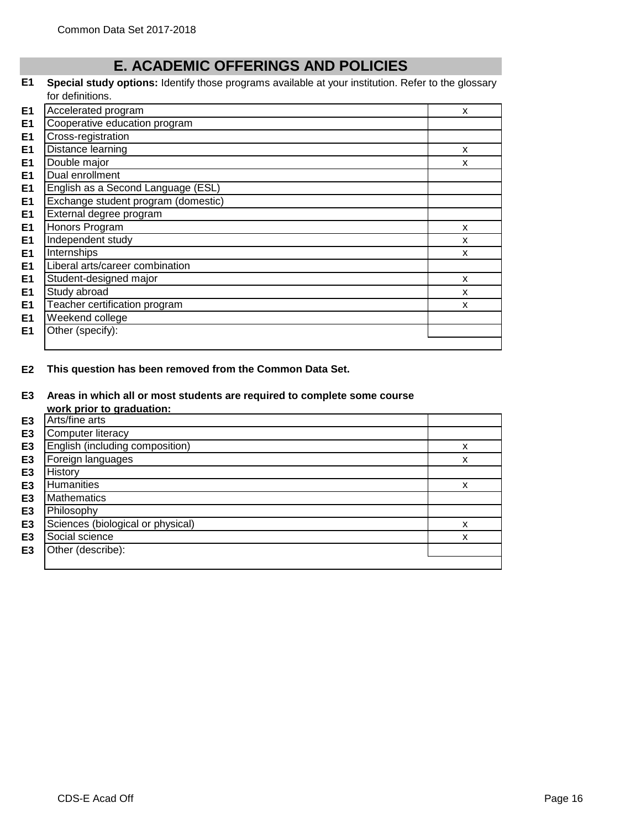# **E. ACADEMIC OFFERINGS AND POLICIES**

#### **E1 Special study options:** Identify those programs available at your institution. Refer to the glossary for definitions.

| E <sub>1</sub> | Accelerated program                 | X |
|----------------|-------------------------------------|---|
| E1             | Cooperative education program       |   |
| E <sub>1</sub> | Cross-registration                  |   |
| E <sub>1</sub> | Distance learning                   | X |
| E <sub>1</sub> | Double major                        | X |
| E <sub>1</sub> | Dual enrollment                     |   |
| E <sub>1</sub> | English as a Second Language (ESL)  |   |
| E <sub>1</sub> | Exchange student program (domestic) |   |
| E <sub>1</sub> | External degree program             |   |
| E <sub>1</sub> | Honors Program                      | X |
| E <sub>1</sub> | Independent study                   | X |
| E <sub>1</sub> | Internships                         | X |
| E <sub>1</sub> | Liberal arts/career combination     |   |
| E <sub>1</sub> | Student-designed major              | X |
| E1             | Study abroad                        | X |
| E <sub>1</sub> | Teacher certification program       | X |
| E <sub>1</sub> | Weekend college                     |   |
| E1             | Other (specify):                    |   |
|                |                                     |   |

# **E2 This question has been removed from the Common Data Set.**

## **E3 Areas in which all or most students are required to complete some course**

|                | work prior to graduation:         |   |
|----------------|-----------------------------------|---|
| E3             | Arts/fine arts                    |   |
| E <sub>3</sub> | Computer literacy                 |   |
| E <sub>3</sub> | English (including composition)   | x |
| E <sub>3</sub> | Foreign languages                 | x |
| E <sub>3</sub> | History                           |   |
| E <sub>3</sub> | <b>Humanities</b>                 | x |
| E <sub>3</sub> | Mathematics                       |   |
| E <sub>3</sub> | Philosophy                        |   |
| E <sub>3</sub> | Sciences (biological or physical) | x |
| E <sub>3</sub> | Social science                    | x |
| E <sub>3</sub> | Other (describe):                 |   |
|                |                                   |   |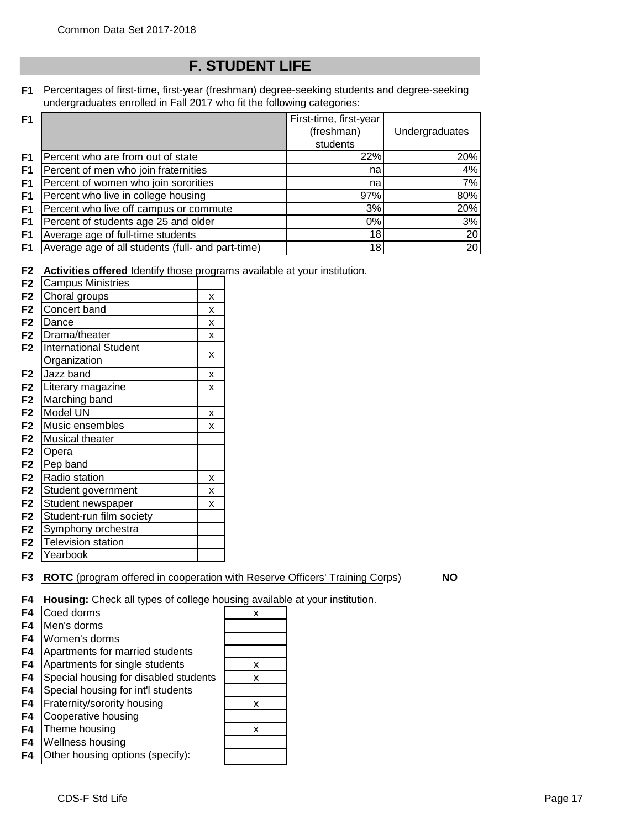# **F. STUDENT LIFE**

**F1** Percentages of first-time, first-year (freshman) degree-seeking students and degree-seeking undergraduates enrolled in Fall 2017 who fit the following categories:

| F <sub>1</sub> |                                                   | First-time, first-year |                |
|----------------|---------------------------------------------------|------------------------|----------------|
|                |                                                   | (freshman)             | Undergraduates |
|                |                                                   | students               |                |
| F1             | Percent who are from out of state                 | 22%                    | 20%            |
| F <sub>1</sub> | Percent of men who join fraternities              | na                     | 4%             |
| F <sub>1</sub> | Percent of women who join sororities              | na                     | 7%             |
| F <sub>1</sub> | Percent who live in college housing               | 97%                    | 80%            |
| F <sub>1</sub> | Percent who live off campus or commute            | 3%                     | 20%            |
| F <sub>1</sub> | Percent of students age 25 and older              | $0\%$                  | 3%             |
| F1             | Average age of full-time students                 | 18                     | 20             |
| F <sub>1</sub> | Average age of all students (full- and part-time) | 18                     | 20             |

**F2 Activities offered** Identify those programs available at your institution.

| <b>Campus Ministries</b>     |   |
|------------------------------|---|
| Choral groups                | x |
| Concert band                 | X |
| Dance                        | X |
| Drama/theater                | X |
| <b>International Student</b> |   |
| Organization                 | x |
| Jazz band                    | x |
| Literary magazine            | x |
| Marching band                |   |
| Model UN                     | x |
| Music ensembles              | X |
| <b>Musical theater</b>       |   |
| Opera                        |   |
| Pep band                     |   |
| Radio station                | x |
| Student government           | X |
| Student newspaper            | X |
| Student-run film society     |   |
| Symphony orchestra           |   |
| <b>Television station</b>    |   |
| Yearbook                     |   |
|                              |   |

**F3 ROTC** (program offered in cooperation with Reserve Officers' Training Corps) **NO**

- **F4 Housing:** Check all types of college housing available at your institution.
- **F4** Coed dorms x
- **F4** Men's dorms
- **F4** Women's dorms
- **F4** Apartments for married students
- **F4** Apartments for single students  $\vert$  x
- **F4** Special housing for disabled students | x
- **F4** Special housing for int'l students
- **F4** Fraternity/sorority housing and the set
- **F4** Cooperative housing
- **F4** Theme housing and a set of the set of the set of the set of the set of the set of the set of the set of the set of the set of the set of the set of the set of the set of the set of the set of the set of the set of the
- **F4** Wellness housing
- **F4** Other housing options (specify):

| ousing available |  |
|------------------|--|
| X                |  |
|                  |  |
|                  |  |
|                  |  |
|                  |  |
| $\frac{x}{x}$    |  |
|                  |  |
| X                |  |
|                  |  |
| X                |  |
|                  |  |
|                  |  |
|                  |  |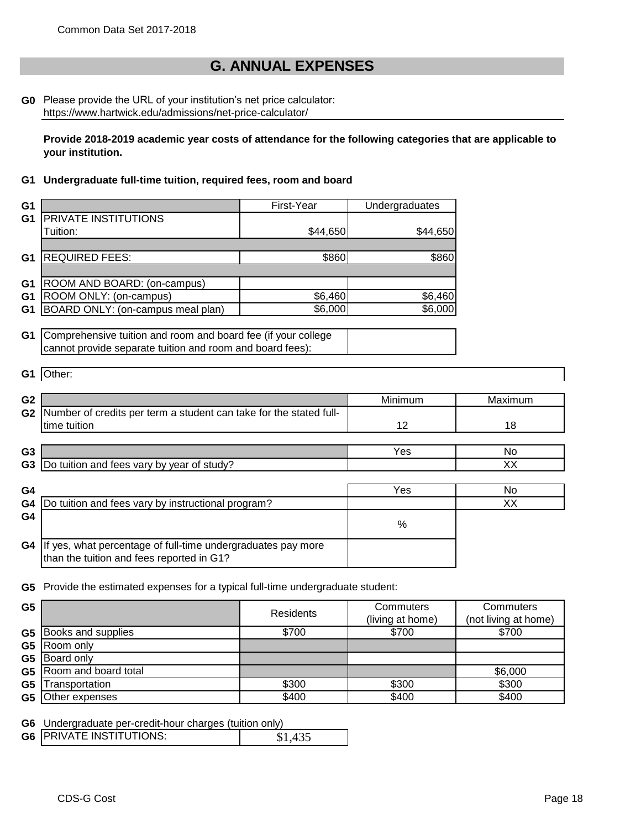# **G. ANNUAL EXPENSES**

### **G0** Please provide the URL of your institution's net price calculator: https://www.hartwick.edu/admissions/net-price-calculator/

**Provide 2018-2019 academic year costs of attendance for the following categories that are applicable to your institution.**

#### **G1 Undergraduate full-time tuition, required fees, room and board**

| G <sub>1</sub> |                                                                    | First-Year | Undergraduates |         |
|----------------|--------------------------------------------------------------------|------------|----------------|---------|
| G1             | <b>PRIVATE INSTITUTIONS</b>                                        |            |                |         |
|                | Tuition:                                                           | \$44,650   | \$44,650       |         |
|                |                                                                    |            |                |         |
| G1             | <b>REQUIRED FEES:</b>                                              | \$860      | \$860          |         |
|                |                                                                    |            |                |         |
| G1             | ROOM AND BOARD: (on-campus)                                        |            |                |         |
| G1             | ROOM ONLY: (on-campus)                                             | \$6,460    | \$6,460        |         |
| G1             | BOARD ONLY: (on-campus meal plan)                                  | \$6,000    | \$6,000        |         |
|                |                                                                    |            |                |         |
| G1             | Comprehensive tuition and room and board fee (if your college      |            |                |         |
|                | cannot provide separate tuition and room and board fees):          |            |                |         |
|                |                                                                    |            |                |         |
|                | G1 Other:                                                          |            |                |         |
| G <sub>2</sub> |                                                                    |            | Minimum        | Maximum |
| G <sub>2</sub> | Number of credits per term a student can take for the stated full- |            |                |         |
|                | time tuition                                                       |            | 12             | 18      |
|                |                                                                    |            |                |         |
| G <sub>3</sub> |                                                                    |            | Yes            | No      |
| G <sub>3</sub> | Do tuition and fees vary by year of study?                         |            |                | XX      |
|                |                                                                    |            |                |         |
| G4             |                                                                    |            | Yes            | No      |
| G4             | Do tuition and fees vary by instructional program?                 |            |                | XX      |
| G4             |                                                                    |            |                |         |
|                |                                                                    |            | %              |         |
|                | G4 If yes, what percentage of full-time undergraduates pay more    |            |                |         |

than the tuition and fees reported in G1?

**G5** Provide the estimated expenses for a typical full-time undergraduate student:

| G <sub>5</sub> |                                | <b>Residents</b> | Commuters        | Commuters            |
|----------------|--------------------------------|------------------|------------------|----------------------|
|                |                                |                  | (living at home) | (not living at home) |
|                | <b>G5</b> Books and supplies   | \$700            | \$700            | \$700                |
| G <sub>5</sub> | Room only                      |                  |                  |                      |
|                | G5 Board only                  |                  |                  |                      |
|                | <b>G5</b> Room and board total |                  |                  | \$6,000              |
| G5             | Transportation                 | \$300            | \$300            | \$300                |
| G <sub>5</sub> | Other expenses                 | \$400            | \$400            | \$400                |

**G6** Undergraduate per-credit-hour charges (tuition only)

G6 PRIVATE INSTITUTIONS:  $$1,435$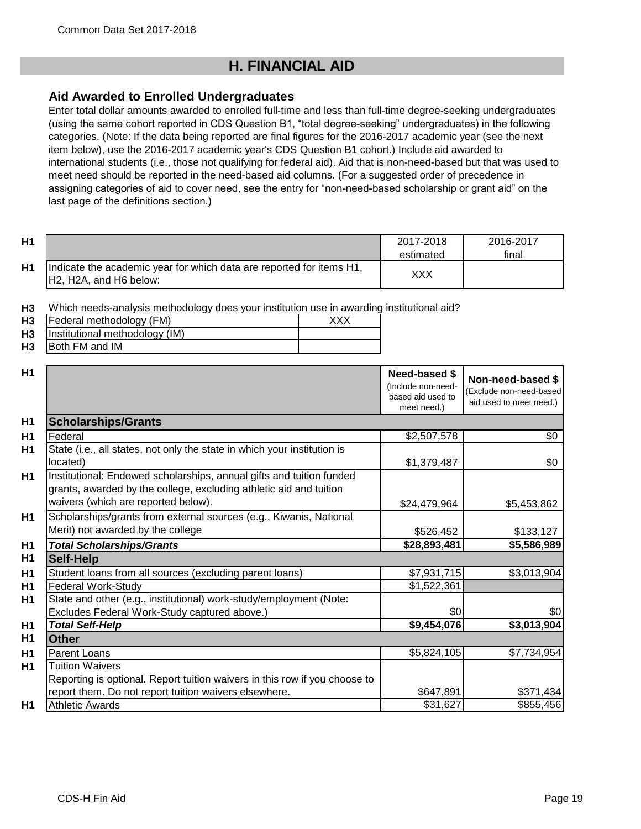# **H. FINANCIAL AID**

# **Aid Awarded to Enrolled Undergraduates**

Enter total dollar amounts awarded to enrolled full-time and less than full-time degree-seeking undergraduates (using the same cohort reported in CDS Question B1, "total degree-seeking" undergraduates) in the following categories. (Note: If the data being reported are final figures for the 2016-2017 academic year (see the next item below), use the 2016-2017 academic year's CDS Question B1 cohort.) Include aid awarded to international students (i.e., those not qualifying for federal aid). Aid that is non-need-based but that was used to meet need should be reported in the need-based aid columns. (For a suggested order of precedence in assigning categories of aid to cover need, see the entry for "non-need-based scholarship or grant aid" on the last page of the definitions section.)

| H1 |                                                                                                                                      | 2017-2018<br>estimated | 2016-2017<br>final |
|----|--------------------------------------------------------------------------------------------------------------------------------------|------------------------|--------------------|
| Η1 | Indicate the academic year for which data are reported for items H1,<br>H <sub>2</sub> , H <sub>2</sub> A, and H <sub>6</sub> below: | XXX                    |                    |

**H3** Which needs-analysis methodology does your institution use in awarding institutional aid?

| H <sub>3</sub> | Federal methodology (FM)       | XXX |
|----------------|--------------------------------|-----|
| H <sub>3</sub> | Institutional methodology (IM) |     |
| H <sub>3</sub> | Both FM and IM                 |     |

| <b>H1</b>      |                                                                                                                                                                                   | <b>Need-based \$</b><br>(Include non-need-<br>based aid used to<br>meet need.) | Non-need-based \$<br>(Exclude non-need-based<br>aid used to meet need.) |
|----------------|-----------------------------------------------------------------------------------------------------------------------------------------------------------------------------------|--------------------------------------------------------------------------------|-------------------------------------------------------------------------|
| H <sub>1</sub> | <b>Scholarships/Grants</b>                                                                                                                                                        |                                                                                |                                                                         |
| H <sub>1</sub> | Federal                                                                                                                                                                           | \$2,507,578                                                                    | \$0                                                                     |
| H1             | State (i.e., all states, not only the state in which your institution is<br>located)                                                                                              | \$1,379,487                                                                    | \$0                                                                     |
| H <sub>1</sub> | Institutional: Endowed scholarships, annual gifts and tuition funded<br>grants, awarded by the college, excluding athletic aid and tuition<br>waivers (which are reported below). | \$24,479,964                                                                   | \$5,453,862                                                             |
| H <sub>1</sub> | Scholarships/grants from external sources (e.g., Kiwanis, National<br>Merit) not awarded by the college                                                                           | \$526,452                                                                      | \$133,127                                                               |
| H <sub>1</sub> | <b>Total Scholarships/Grants</b>                                                                                                                                                  | \$28,893,481                                                                   | \$5,586,989                                                             |
| H <sub>1</sub> | <b>Self-Help</b>                                                                                                                                                                  |                                                                                |                                                                         |
| H <sub>1</sub> | Student loans from all sources (excluding parent loans)                                                                                                                           | \$7,931,715                                                                    | \$3,013,904                                                             |
| H <sub>1</sub> | <b>Federal Work-Study</b>                                                                                                                                                         | \$1,522,361                                                                    |                                                                         |
| H <sub>1</sub> | State and other (e.g., institutional) work-study/employment (Note:                                                                                                                |                                                                                |                                                                         |
|                | Excludes Federal Work-Study captured above.)                                                                                                                                      | \$0                                                                            | \$0                                                                     |
| H <sub>1</sub> | <b>Total Self-Help</b>                                                                                                                                                            | \$9,454,076                                                                    | \$3,013,904                                                             |
| H <sub>1</sub> | <b>Other</b>                                                                                                                                                                      |                                                                                |                                                                         |
| <b>H1</b>      | Parent Loans                                                                                                                                                                      | \$5,824,105                                                                    | \$7,734,954                                                             |
| H <sub>1</sub> | <b>Tuition Waivers</b><br>Reporting is optional. Report tuition waivers in this row if you choose to                                                                              |                                                                                |                                                                         |
|                | report them. Do not report tuition waivers elsewhere.                                                                                                                             | \$647,891                                                                      | \$371,434                                                               |
| H1             | <b>Athletic Awards</b>                                                                                                                                                            | \$31,627                                                                       | \$855,456                                                               |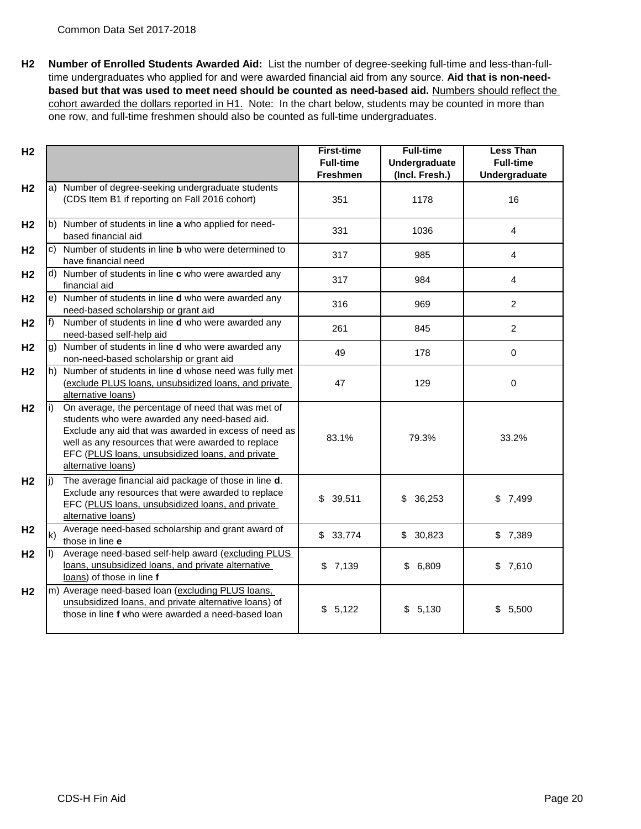**H2 Number of Enrolled Students Awarded Aid:** List the number of degree-seeking full-time and less-than-fulltime undergraduates who applied for and were awarded financial aid from any source. **Aid that is non-needbased but that was used to meet need should be counted as need-based aid.** Numbers should reflect the cohort awarded the dollars reported in H1. Note: In the chart below, students may be counted in more than one row, and full-time freshmen should also be counted as full-time undergraduates.

| H <sub>2</sub> |                                                                                                                                                                                                                                                                                                    | <b>First-time</b><br><b>Full-time</b><br><b>Freshmen</b> | <b>Full-time</b><br>Undergraduate<br>(Incl. Fresh.) | <b>Less Than</b><br><b>Full-time</b><br>Undergraduate |
|----------------|----------------------------------------------------------------------------------------------------------------------------------------------------------------------------------------------------------------------------------------------------------------------------------------------------|----------------------------------------------------------|-----------------------------------------------------|-------------------------------------------------------|
| H <sub>2</sub> | a) Number of degree-seeking undergraduate students<br>(CDS Item B1 if reporting on Fall 2016 cohort)                                                                                                                                                                                               | 351                                                      | 1178                                                | 16                                                    |
| H <sub>2</sub> | b) Number of students in line a who applied for need-<br>based financial aid                                                                                                                                                                                                                       | 331                                                      | 1036                                                | 4                                                     |
| H <sub>2</sub> | Number of students in line <b>b</b> who were determined to<br>C)<br>have financial need                                                                                                                                                                                                            | 317                                                      | 985                                                 | 4                                                     |
| H <sub>2</sub> | d) Number of students in line c who were awarded any<br>financial aid                                                                                                                                                                                                                              | 317                                                      | 984                                                 | 4                                                     |
| H <sub>2</sub> | Number of students in line d who were awarded any<br>e)<br>need-based scholarship or grant aid                                                                                                                                                                                                     | 316                                                      | 969                                                 | $\overline{2}$                                        |
| H <sub>2</sub> | Number of students in line d who were awarded any<br>f)<br>need-based self-help aid                                                                                                                                                                                                                | 261                                                      | 845                                                 | $\overline{2}$                                        |
| H <sub>2</sub> | Number of students in line d who were awarded any<br>q)<br>non-need-based scholarship or grant aid                                                                                                                                                                                                 | 49                                                       | 178                                                 | 0                                                     |
| H <sub>2</sub> | Number of students in line d whose need was fully met<br>h)<br>(exclude PLUS loans, unsubsidized loans, and private<br>alternative loans)                                                                                                                                                          | 47                                                       | 129                                                 | $\Omega$                                              |
| H <sub>2</sub> | On average, the percentage of need that was met of<br>i)<br>students who were awarded any need-based aid.<br>Exclude any aid that was awarded in excess of need as<br>well as any resources that were awarded to replace<br>EFC (PLUS loans, unsubsidized loans, and private<br>alternative loans) | 83.1%                                                    | 79.3%                                               | 33.2%                                                 |
| H <sub>2</sub> | The average financial aid package of those in line d.<br>li)<br>Exclude any resources that were awarded to replace<br>EFC (PLUS loans, unsubsidized loans, and private<br>alternative loans)                                                                                                       | \$<br>39,511                                             | \$<br>36,253                                        | \$7,499                                               |
| H <sub>2</sub> | Average need-based scholarship and grant award of<br>$\mathsf{k}$<br>those in line e                                                                                                                                                                                                               | \$33,774                                                 | \$30,823                                            | \$7,389                                               |
| H <sub>2</sub> | Average need-based self-help award (excluding PLUS<br>$\mathbf{D}$<br>loans, unsubsidized loans, and private alternative<br>loans) of those in line f                                                                                                                                              | \$<br>7,139                                              | \$<br>6,809                                         | \$7,610                                               |
| H <sub>2</sub> | m) Average need-based loan (excluding PLUS loans,<br>unsubsidized loans, and private alternative loans) of<br>those in line f who were awarded a need-based loan                                                                                                                                   | \$5,122                                                  | \$5,130                                             | \$5,500                                               |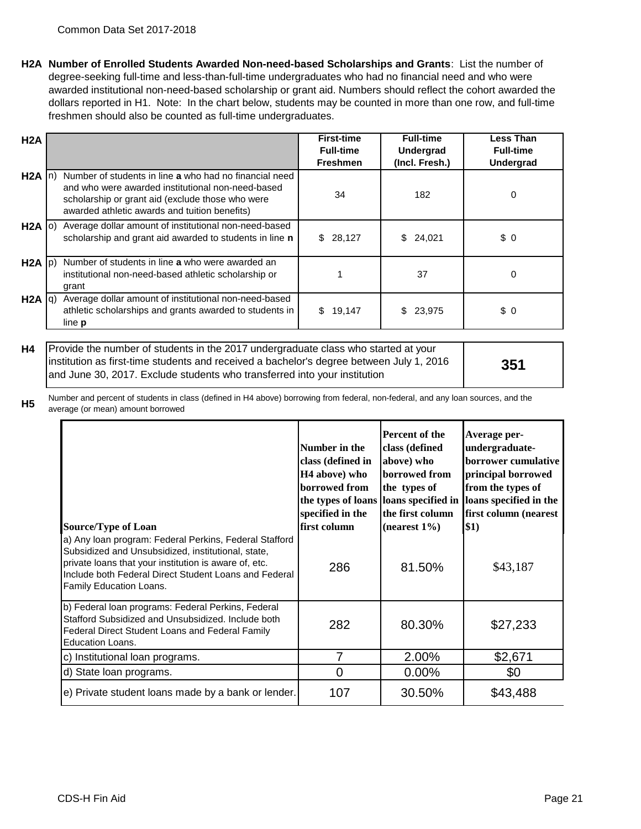**H2A Number of Enrolled Students Awarded Non-need-based Scholarships and Grants**: List the number of degree-seeking full-time and less-than-full-time undergraduates who had no financial need and who were awarded institutional non-need-based scholarship or grant aid. Numbers should reflect the cohort awarded the dollars reported in H1. Note: In the chart below, students may be counted in more than one row, and full-time freshmen should also be counted as full-time undergraduates.

| H <sub>2</sub> A |                                                                                                                                                                                                                           | <b>First-time</b><br><b>Full-time</b><br><b>Freshmen</b> | <b>Full-time</b><br>Undergrad<br>(Incl. Fresh.) | <b>Less Than</b><br><b>Full-time</b><br>Undergrad |
|------------------|---------------------------------------------------------------------------------------------------------------------------------------------------------------------------------------------------------------------------|----------------------------------------------------------|-------------------------------------------------|---------------------------------------------------|
| H <sub>2</sub> A | Number of students in line a who had no financial need<br>$\ln$<br>and who were awarded institutional non-need-based<br>scholarship or grant aid (exclude those who were<br>awarded athletic awards and tuition benefits) | 34                                                       | 182                                             | 0                                                 |
| H2A   0          | Average dollar amount of institutional non-need-based<br>scholarship and grant aid awarded to students in line n                                                                                                          | \$28,127                                                 | 24,021<br>S.                                    | \$0                                               |
| $H2A$ (p)        | Number of students in line a who were awarded an<br>institutional non-need-based athletic scholarship or<br>grant                                                                                                         |                                                          | 37                                              | $\Omega$                                          |
| H2A  q           | Average dollar amount of institutional non-need-based<br>athletic scholarships and grants awarded to students in<br>line <b>p</b>                                                                                         | \$19,147                                                 | \$23,975                                        | \$0                                               |

- **H4 351** Provide the number of students in the 2017 undergraduate class who started at your institution as first-time students and received a bachelor's degree between July 1, 2016 and June 30, 2017. Exclude students who transferred into your institution
- **H5** Number and percent of students in class (defined in H4 above) borrowing from federal, non-federal, and any loan sources, and the average (or mean) amount borrowed

| <b>Source/Type of Loan</b><br>a) Any loan program: Federal Perkins, Federal Stafford                                                                                                            | Number in the<br>class (defined in<br>H <sub>4</sub> above) who<br>borrowed from<br>specified in the<br>first column | Percent of the<br>class (defined<br>above) who<br>borrowed from<br>the types of<br>the types of loans loans specified in<br>the first column<br>$(nearest 1\%)$ | Average per-<br>undergraduate-<br>borrower cumulative<br>principal borrowed<br>from the types of<br>loans specified in the<br>first column (nearest<br>\$1) |
|-------------------------------------------------------------------------------------------------------------------------------------------------------------------------------------------------|----------------------------------------------------------------------------------------------------------------------|-----------------------------------------------------------------------------------------------------------------------------------------------------------------|-------------------------------------------------------------------------------------------------------------------------------------------------------------|
| Subsidized and Unsubsidized, institutional, state,<br>private loans that your institution is aware of, etc.<br>Include both Federal Direct Student Loans and Federal<br>Family Education Loans. | 286                                                                                                                  | 81.50%                                                                                                                                                          | \$43,187                                                                                                                                                    |
| b) Federal Ioan programs: Federal Perkins, Federal<br>Stafford Subsidized and Unsubsidized. Include both<br>Federal Direct Student Loans and Federal Family<br>Education Loans.                 | 282                                                                                                                  | 80.30%                                                                                                                                                          | \$27,233                                                                                                                                                    |
| c) Institutional loan programs.                                                                                                                                                                 | $\overline{7}$                                                                                                       | 2.00%                                                                                                                                                           | \$2,671                                                                                                                                                     |
| d) State loan programs.                                                                                                                                                                         | $\Omega$                                                                                                             | $0.00\%$                                                                                                                                                        | \$0                                                                                                                                                         |
| e) Private student loans made by a bank or lender.                                                                                                                                              | 107                                                                                                                  | 30.50%                                                                                                                                                          | \$43,488                                                                                                                                                    |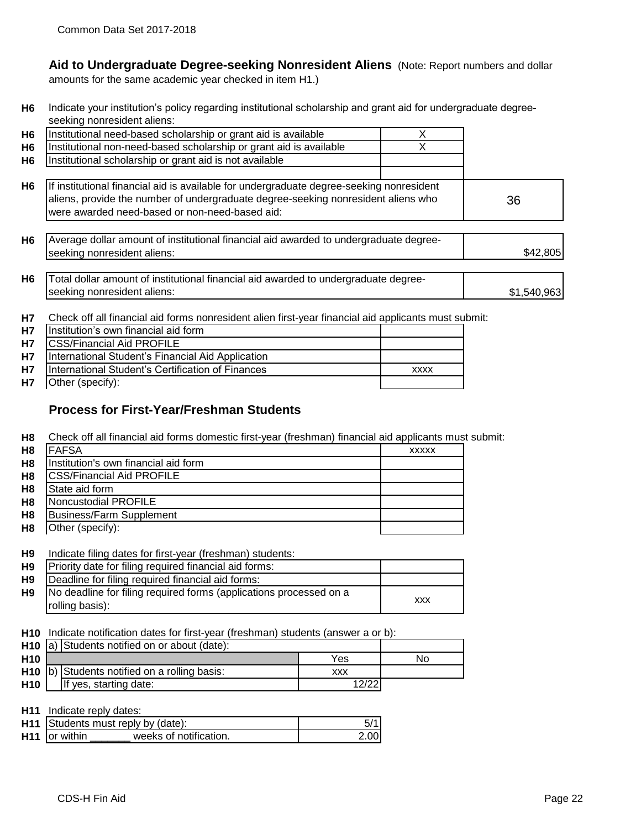**Aid to Undergraduate Degree-seeking Nonresident Aliens** (Note: Report numbers and dollar amounts for the same academic year checked in item H1.)

**H6** Indicate your institution's policy regarding institutional scholarship and grant aid for undergraduate degreeseeking nonresident aliens:

|                                                                                                                                                                                                                                                   | 36                                                                                                                                                                            |
|---------------------------------------------------------------------------------------------------------------------------------------------------------------------------------------------------------------------------------------------------|-------------------------------------------------------------------------------------------------------------------------------------------------------------------------------|
|                                                                                                                                                                                                                                                   |                                                                                                                                                                               |
| Institutional need-based scholarship or grant aid is available<br>Institutional non-need-based scholarship or grant aid is available<br>Institutional scholarship or grant aid is not available<br>were awarded need-based or non-need-based aid: | If institutional financial aid is available for undergraduate degree-seeking nonresident<br>aliens, provide the number of undergraduate degree-seeking nonresident aliens who |

| H <sub>6</sub> | Average dollar amount of institutional financial aid awarded to undergraduate degree- |          |
|----------------|---------------------------------------------------------------------------------------|----------|
|                | seeking nonresident aliens:                                                           | \$42,805 |
|                |                                                                                       |          |

| H6 | <b>Total dollar amount of institutional financial aid awarded to undergraduate degree-</b> |             |
|----|--------------------------------------------------------------------------------------------|-------------|
|    | Iseeking nonresident aliens:                                                               | \$1.540.963 |

**H7** Check off all financial aid forms nonresident alien first-year financial aid applicants must submit:

| <b>H7</b> | Institution's own financial aid form              |             |
|-----------|---------------------------------------------------|-------------|
| <b>H7</b> | <b>ICSS/Financial Aid PROFILE</b>                 |             |
| <b>H7</b> | International Student's Financial Aid Application |             |
| <b>H7</b> | International Student's Certification of Finances | <b>XXXX</b> |
|           | <b>H7</b> Other (specify):                        |             |

# **Process for First-Year/Freshman Students**

**H8** Check off all financial aid forms domestic first-year (freshman) financial aid applicants must submit:

| H <sub>8</sub> | <b>FAFSA</b>                         | <b>XXXXX</b> |
|----------------|--------------------------------------|--------------|
| H <sub>8</sub> | Institution's own financial aid form |              |
| H <sub>8</sub> | <b>CSS/Financial Aid PROFILE</b>     |              |
| H <sub>8</sub> | State aid form                       |              |
| H <sub>8</sub> | Noncustodial PROFILE                 |              |
| H <sub>8</sub> | <b>Business/Farm Supplement</b>      |              |
| H <sub>8</sub> | Other (specify):                     |              |

#### **H9** Indicate filing dates for first-year (freshman) students:

| H <sub>9</sub> | Priority date for filing required financial aid forms:             |            |
|----------------|--------------------------------------------------------------------|------------|
| H <sub>9</sub> | Deadline for filing required financial aid forms:                  |            |
| H <sub>9</sub> | No deadline for filing required forms (applications processed on a | <b>XXX</b> |
|                | rolling basis):                                                    |            |

#### **H10** Indicate notification dates for first-year (freshman) students (answer a or b):

|                 | H <sub>10</sub> a) Students notified on or about (date): |       |  |
|-----------------|----------------------------------------------------------|-------|--|
| H <sub>10</sub> |                                                          | No    |  |
|                 | $H10$ b) Students notified on a rolling basis:           | xxx   |  |
| <b>H10</b>      | If yes, starting date:                                   | 12/22 |  |

**H11** Indicate reply dates:

|                      | H11 Students must reply by (date): |  |
|----------------------|------------------------------------|--|
| <b>H11</b> or within | weeks of notification.             |  |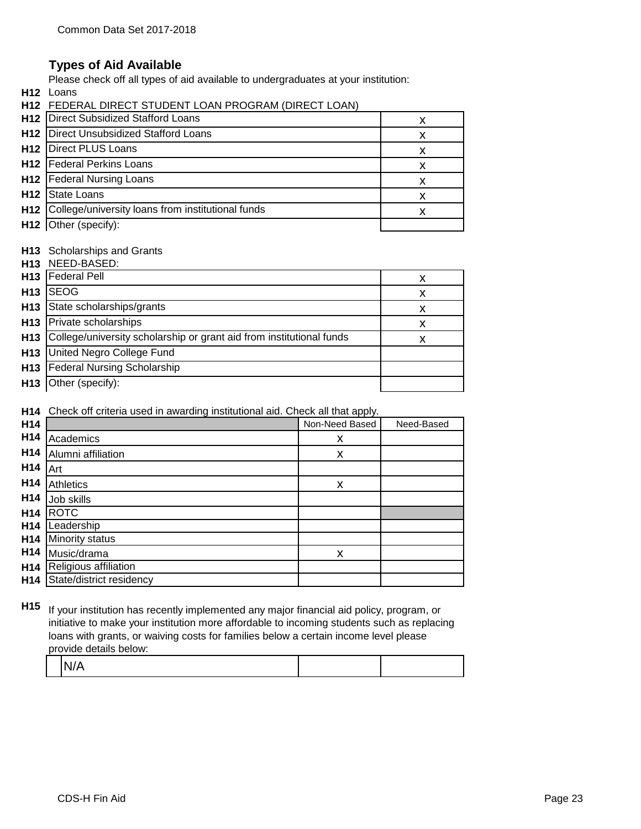# **Types of Aid Available**

Please check off all types of aid available to undergraduates at your institution:

**H12** Loans

| <b>H12 FEDERAL DIRECT STUDENT LOAN PROGRAM (DIRECT LOAN)</b> |   |  |  |  |  |  |
|--------------------------------------------------------------|---|--|--|--|--|--|
| H12 Direct Subsidized Stafford Loans                         | X |  |  |  |  |  |
| H12 Direct Unsubsidized Stafford Loans                       | X |  |  |  |  |  |
| H12 Direct PLUS Loans                                        | X |  |  |  |  |  |
| H12 Federal Perkins Loans                                    | X |  |  |  |  |  |
| <b>H12</b> Federal Nursing Loans                             | X |  |  |  |  |  |
| H <sub>12</sub> State Loans                                  | X |  |  |  |  |  |
|                                                              |   |  |  |  |  |  |

**H12** College/university loans from institutional funds **EXA COLLEGE CONVERTS CONVERTS** X **H12** Other (specify):

#### **H13** Scholarships and Grants

|                 | H13 NEED-BASED:                                                      |   |
|-----------------|----------------------------------------------------------------------|---|
| H <sub>13</sub> | <b>Federal Pell</b>                                                  | x |
| H <sub>13</sub> | <b>SEOG</b>                                                          | x |
| H <sub>13</sub> | State scholarships/grants                                            | х |
| H <sub>13</sub> | Private scholarships                                                 | X |
| H <sub>13</sub> | College/university scholarship or grant aid from institutional funds | x |
| H <sub>13</sub> | United Negro College Fund                                            |   |
| H <sub>13</sub> | <b>Federal Nursing Scholarship</b>                                   |   |
| H <sub>13</sub> | Other (specify):                                                     |   |

#### **H14** Check off criteria used in awarding institutional aid. Check all that apply.

| H14             |                          | Non-Need Based | Need-Based |
|-----------------|--------------------------|----------------|------------|
| H <sub>14</sub> | Academics                | X              |            |
| H <sub>14</sub> | Alumni affiliation       | X              |            |
| H <sub>14</sub> | Art                      |                |            |
| H <sub>14</sub> | Athletics                | X              |            |
| H <sub>14</sub> | Job skills               |                |            |
| H <sub>14</sub> | <b>ROTC</b>              |                |            |
| H <sub>14</sub> | Leadership               |                |            |
| H <sub>14</sub> | Minority status          |                |            |
| H <sub>14</sub> | Music/drama              | X              |            |
| H <sub>14</sub> | Religious affiliation    |                |            |
| H <sub>14</sub> | State/district residency |                |            |

**H15** If your institution has recently implemented any major financial aid policy, program, or initiative to make your institution more affordable to incoming students such as replacing loans with grants, or waiving costs for families below a certain income level please provide details below:

| . |  |
|---|--|
|   |  |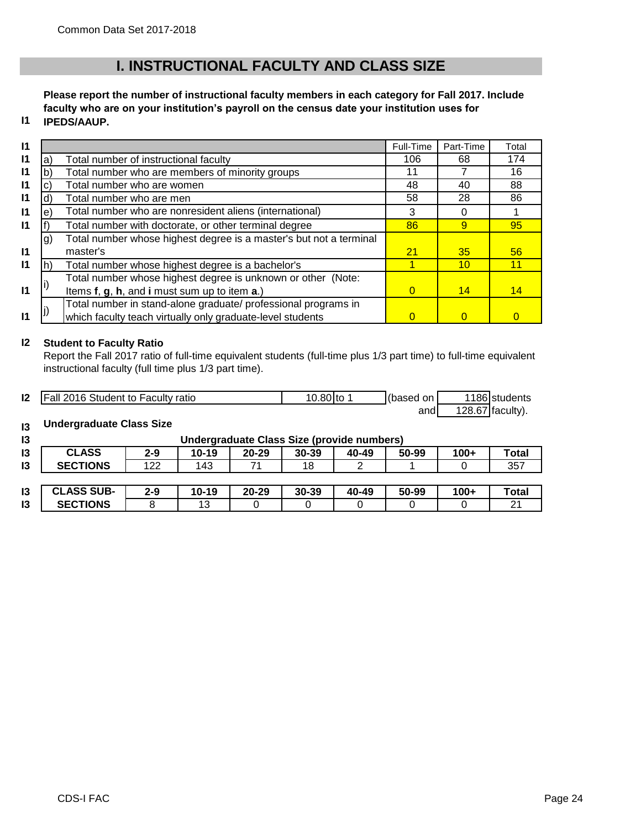# **I. INSTRUCTIONAL FACULTY AND CLASS SIZE**

**Please report the number of instructional faculty members in each category for Fall 2017. Include faculty who are on your institution's payroll on the census date your institution uses for IPEDS/AAUP.**

| $\mathsf{I}$    |    |                                                                    | Full-Time | Part-Time       | Total |
|-----------------|----|--------------------------------------------------------------------|-----------|-----------------|-------|
| $\mathsf{I}$    | a) | Total number of instructional faculty                              | 106       | 68              | 174   |
| $\mathsf{I}$    | b) | Total number who are members of minority groups                    | 11        |                 | 16    |
| $\mathsf{I}$    | C) | Total number who are women                                         | 48        | 40              | 88    |
| 11              | d) | Total number who are men                                           | 58        | 28              | 86    |
| $\overline{11}$ | e) | Total number who are nonresident aliens (international)            | 3         | 0               |       |
| $\mathsf{I}$    |    | Total number with doctorate, or other terminal degree              | 86        | 9               | 95    |
|                 | g) | Total number whose highest degree is a master's but not a terminal |           |                 |       |
| 11              |    | master's                                                           | 21        | 35              | 56    |
| $\overline{11}$ |    | Total number whose highest degree is a bachelor's                  |           | 10 <sup>1</sup> |       |
|                 |    | Total number whose highest degree is unknown or other (Note:       |           |                 |       |
| $\mathsf{I}$    |    | Items f, g, h, and i must sum up to item a.)                       | 0         | 14              | 14    |
|                 |    | Total number in stand-alone graduate/ professional programs in     |           |                 |       |
| $\mathsf{I}$    |    | which faculty teach virtually only graduate-level students         |           |                 |       |

#### **I2 Student to Faculty Ratio**

**I1**

Report the Fall 2017 ratio of full-time equivalent students (full-time plus 1/3 part time) to full-time equivalent instructional faculty (full time plus 1/3 part time).

| 12 | Fall 2016 Student to Faculty ratio | 10.80 to | (based on | 1186 students      |
|----|------------------------------------|----------|-----------|--------------------|
|    |                                    |          | and       | $128.67$ faculty). |

#### **I3 Undergraduate Class Size**

| 13 | Undergraduate Class Size (provide numbers) |         |           |           |       |       |       |        |             |
|----|--------------------------------------------|---------|-----------|-----------|-------|-------|-------|--------|-------------|
| 13 | <b>CLASS</b>                               | $2 - 9$ | $10 - 19$ | $20 - 29$ | 30-39 | 40-49 | 50-99 | $100+$ | $\tau$ otal |
| 13 | <b>SECTIONS</b>                            | 122     | 143       | 74        |       |       |       |        | 357         |
|    |                                            |         |           |           |       |       |       |        |             |

| ın<br>IJ | <b>SS SUB-</b><br>~-<br>$\ddot{\phantom{a}}$<br>◡∟<br>AJJ. | 2-9 | -19<br>. W- | 20-29 | 30-39 | 40-49 | 50-99 | $100+$ | ⊺ota. |
|----------|------------------------------------------------------------|-----|-------------|-------|-------|-------|-------|--------|-------|
| 10<br>IJ | <b>OLOTIONIC</b><br>วพธ                                    |     | .<br>-      |       |       |       |       |        |       |